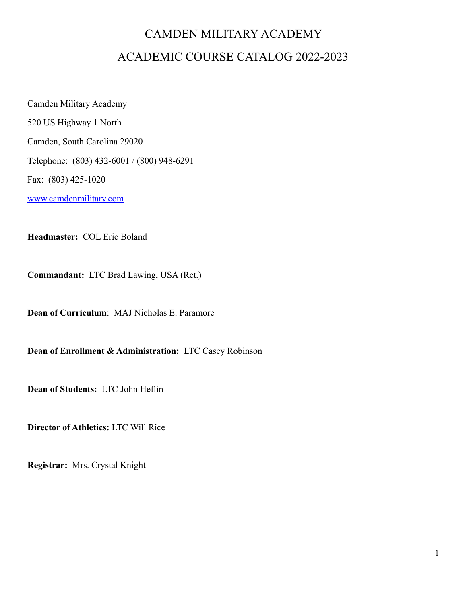# CAMDEN MILITARY ACADEMY ACADEMIC COURSE CATALOG 2022-2023

Camden Military Academy 520 US Highway 1 North Camden, South Carolina 29020 Telephone: (803) 432-6001 / (800) 948-6291 Fax: (803) 425-1020 [www.camdenmilitary.com](http://www.camdenmilitary.com)

**Headmaster:** COL Eric Boland

**Commandant:** LTC Brad Lawing, USA (Ret.)

**Dean of Curriculum**: MAJ Nicholas E. Paramore

**Dean of Enrollment & Administration:** LTC Casey Robinson

**Dean of Students:** LTC John Heflin

**Director of Athletics:** LTC Will Rice

**Registrar:** Mrs. Crystal Knight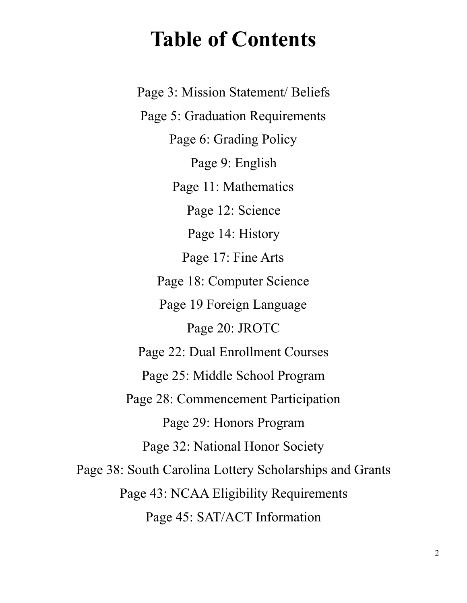# **Table of Contents**

Page 3: Mission Statement/ Beliefs Page 5: Graduation Requirements Page 6: Grading Policy Page 9: English Page 11: Mathematics Page 12: Science Page 14: History Page 17: Fine Arts Page 18: Computer Science Page 19 Foreign Language Page 20: JROTC Page 22: Dual Enrollment Courses Page 25: Middle School Program Page 28: Commencement Participation Page 29: Honors Program Page 32: National Honor Society Page 38: South Carolina Lottery Scholarships and Grants Page 43: NCAA Eligibility Requirements Page 45: SAT/ACT Information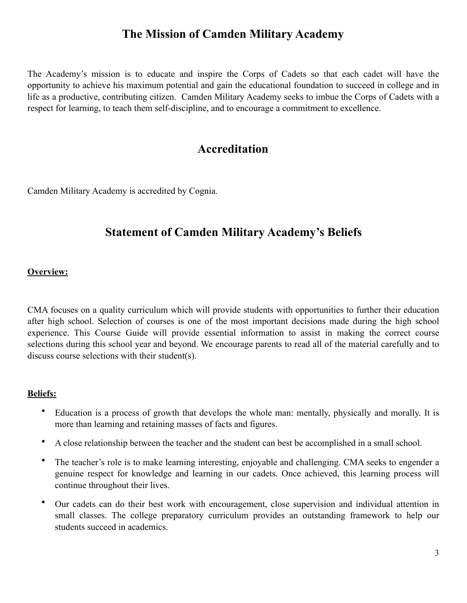# **The Mission of Camden Military Academy**

The Academy's mission is to educate and inspire the Corps of Cadets so that each cadet will have the opportunity to achieve his maximum potential and gain the educational foundation to succeed in college and in life as a productive, contributing citizen. Camden Military Academy seeks to imbue the Corps of Cadets with a respect for learning, to teach them self-discipline, and to encourage a commitment to excellence.

# **Accreditation**

Camden Military Academy is accredited by Cognia.

# **Statement of Camden Military Academy's Beliefs**

#### **Overview:**

CMA focuses on a quality curriculum which will provide students with opportunities to further their education after high school. Selection of courses is one of the most important decisions made during the high school experience. This Course Guide will provide essential information to assist in making the correct course selections during this school year and beyond. We encourage parents to read all of the material carefully and to discuss course selections with their student(s).

#### **Beliefs:**

- Education is a process of growth that develops the whole man: mentally, physically and morally. It is more than learning and retaining masses of facts and figures.
- A close relationship between the teacher and the student can best be accomplished in a small school.
- The teacher's role is to make learning interesting, enjoyable and challenging. CMA seeks to engender a genuine respect for knowledge and learning in our cadets. Once achieved, this learning process will continue throughout their lives.
- Our cadets can do their best work with encouragement, close supervision and individual attention in small classes. The college preparatory curriculum provides an outstanding framework to help our students succeed in academics.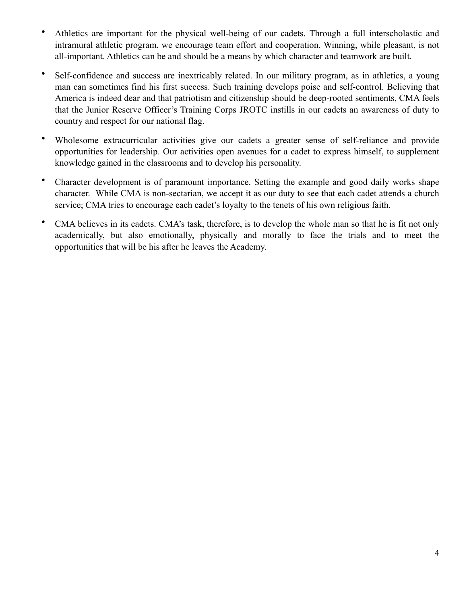- Athletics are important for the physical well-being of our cadets. Through a full interscholastic and intramural athletic program, we encourage team effort and cooperation. Winning, while pleasant, is not all-important. Athletics can be and should be a means by which character and teamwork are built.
- Self-confidence and success are inextricably related. In our military program, as in athletics, a young man can sometimes find his first success. Such training develops poise and self-control. Believing that America is indeed dear and that patriotism and citizenship should be deep-rooted sentiments, CMA feels that the Junior Reserve Officer's Training Corps JROTC instills in our cadets an awareness of duty to country and respect for our national flag.
- Wholesome extracurricular activities give our cadets a greater sense of self-reliance and provide opportunities for leadership. Our activities open avenues for a cadet to express himself, to supplement knowledge gained in the classrooms and to develop his personality.
- Character development is of paramount importance. Setting the example and good daily works shape character. While CMA is non-sectarian, we accept it as our duty to see that each cadet attends a church service; CMA tries to encourage each cadet's loyalty to the tenets of his own religious faith.
- CMA believes in its cadets. CMA's task, therefore, is to develop the whole man so that he is fit not only academically, but also emotionally, physically and morally to face the trials and to meet the opportunities that will be his after he leaves the Academy.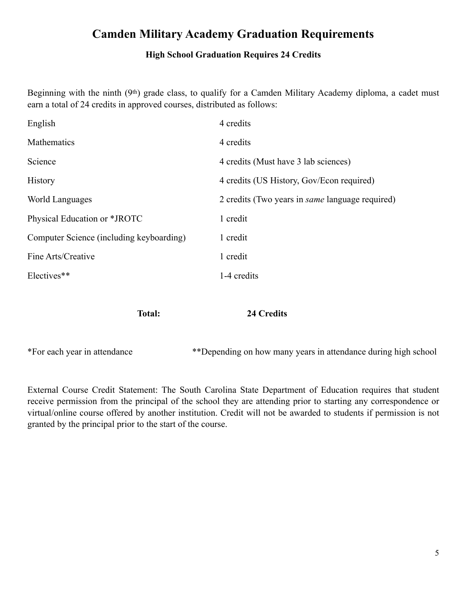# **Camden Military Academy Graduation Requirements**

### **High School Graduation Requires 24 Credits**

Beginning with the ninth (9th) grade class, to qualify for a Camden Military Academy diploma, a cadet must earn a total of 24 credits in approved courses, distributed as follows:

| English                                  | 4 credits                                              |
|------------------------------------------|--------------------------------------------------------|
| Mathematics                              | 4 credits                                              |
| Science                                  | 4 credits (Must have 3 lab sciences)                   |
| <b>History</b>                           | 4 credits (US History, Gov/Econ required)              |
| World Languages                          | 2 credits (Two years in <i>same</i> language required) |
| Physical Education or *JROTC             | 1 credit                                               |
| Computer Science (including keyboarding) | 1 credit                                               |
| Fine Arts/Creative                       | 1 credit                                               |
| Electives**                              | 1-4 credits                                            |

**Total: 24 Credits** 

\*For each year in attendance \*\*Depending on how many years in attendance during high school

External Course Credit Statement: The South Carolina State Department of Education requires that student receive permission from the principal of the school they are attending prior to starting any correspondence or virtual/online course offered by another institution. Credit will not be awarded to students if permission is not granted by the principal prior to the start of the course.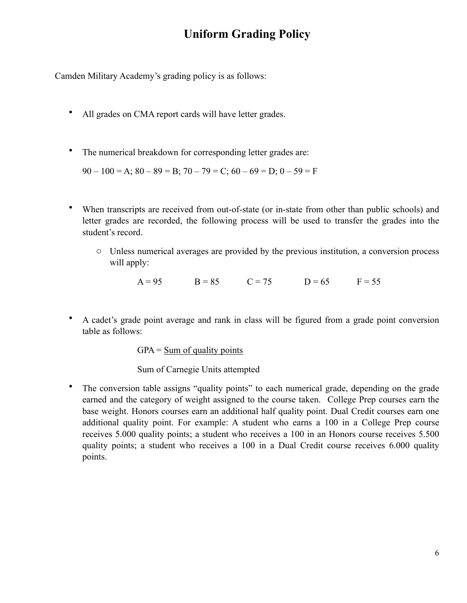# **Uniform Grading Policy**

Camden Military Academy's grading policy is as follows:

- All grades on CMA report cards will have letter grades.
- The numerical breakdown for corresponding letter grades are:

 $90 - 100 = A$ ;  $80 - 89 = B$ ;  $70 - 79 = C$ ;  $60 - 69 = D$ ;  $0 - 59 = F$ 

- When transcripts are received from out-of-state (or in-state from other than public schools) and letter grades are recorded, the following process will be used to transfer the grades into the student's record.
	- o Unless numerical averages are provided by the previous institution, a conversion process will apply:

 $A = 95$   $B = 85$   $C = 75$   $D = 65$   $F = 55$ 

• A cadet's grade point average and rank in class will be figured from a grade point conversion table as follows:

 $GPA = Sum of quality points$ 

Sum of Carnegie Units attempted

• The conversion table assigns "quality points" to each numerical grade, depending on the grade earned and the category of weight assigned to the course taken. College Prep courses earn the base weight. Honors courses earn an additional half quality point. Dual Credit courses earn one additional quality point. For example: A student who earns a 100 in a College Prep course receives 5.000 quality points; a student who receives a 100 in an Honors course receives 5.500 quality points; a student who receives a 100 in a Dual Credit course receives 6.000 quality points.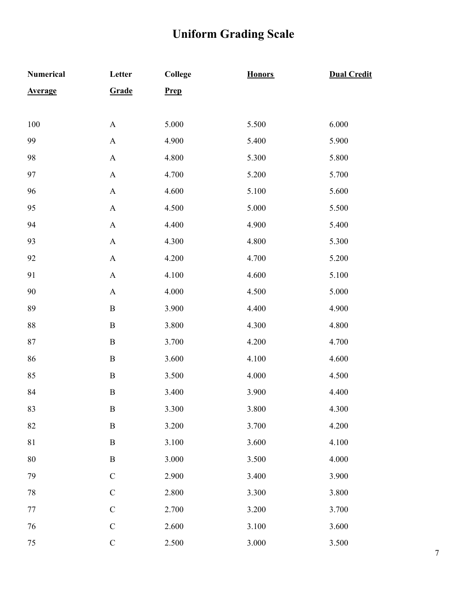# **Uniform Grading Scale**

| <b>Numerical</b> | Letter                    | College     | <b>Honors</b> | <b>Dual Credit</b> |
|------------------|---------------------------|-------------|---------------|--------------------|
| <b>Average</b>   | Grade                     | <b>Prep</b> |               |                    |
|                  |                           |             |               |                    |
| 100              | $\mathbf{A}$              | 5.000       | 5.500         | 6.000              |
| 99               | $\mathbf A$               | 4.900       | 5.400         | 5.900              |
| 98               | $\boldsymbol{\mathsf{A}}$ | 4.800       | 5.300         | 5.800              |
| 97               | $\boldsymbol{\mathsf{A}}$ | 4.700       | 5.200         | 5.700              |
| 96               | $\boldsymbol{\mathsf{A}}$ | 4.600       | 5.100         | 5.600              |
| 95               | $\boldsymbol{\mathsf{A}}$ | 4.500       | 5.000         | 5.500              |
| 94               | $\mathbf{A}$              | 4.400       | 4.900         | 5.400              |
| 93               | $\mathbf A$               | 4.300       | 4.800         | 5.300              |
| 92               | $\boldsymbol{\mathsf{A}}$ | 4.200       | 4.700         | 5.200              |
| 91               | $\mathbf A$               | 4.100       | 4.600         | 5.100              |
| 90               | $\boldsymbol{\mathsf{A}}$ | 4.000       | 4.500         | 5.000              |
| 89               | $\, {\bf B}$              | 3.900       | 4.400         | 4.900              |
| 88               | $\mathbf B$               | 3.800       | 4.300         | 4.800              |
| 87               | $\, {\bf B}$              | 3.700       | 4.200         | 4.700              |
| 86               | $\, {\bf B}$              | 3.600       | 4.100         | 4.600              |
| 85               | $\, {\bf B}$              | 3.500       | 4.000         | 4.500              |
| 84               | $\, {\bf B}$              | 3.400       | 3.900         | 4.400              |
| 83               | $\boldsymbol{B}$          | 3.300       | 3.800         | 4.300              |
| 82               | $\, {\bf B}$              | 3.200       | 3.700         | 4.200              |
| 81               | $\, {\bf B}$              | 3.100       | 3.600         | 4.100              |
| $80\,$           | $\, {\bf B}$              | 3.000       | 3.500         | 4.000              |
| 79               | $\mathcal{C}$             | 2.900       | 3.400         | 3.900              |
| 78               | $\mathcal{C}$             | 2.800       | 3.300         | 3.800              |
| 77               | $\mathcal{C}$             | 2.700       | 3.200         | 3.700              |
| 76               | $\mathcal{C}$             | 2.600       | 3.100         | 3.600              |
| $75\,$           | $\mathcal{C}$             | 2.500       | 3.000         | 3.500              |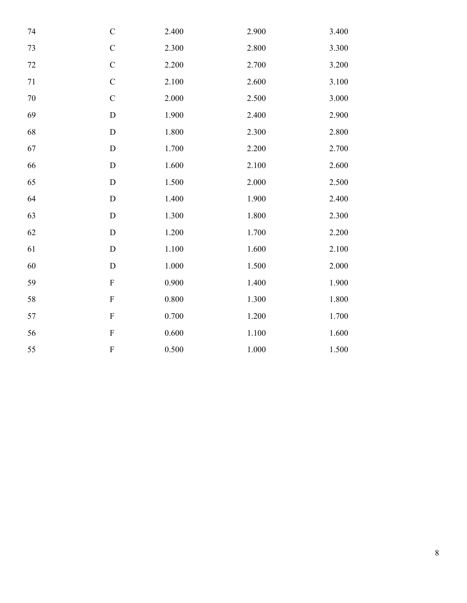| $74\,$ | $\mathbf C$               | 2.400     | 2.900 | 3.400     |
|--------|---------------------------|-----------|-------|-----------|
| 73     | $\mathbf C$               | 2.300     | 2.800 | 3.300     |
| $72\,$ | $\mathsf C$               | 2.200     | 2.700 | 3.200     |
| $71\,$ | $\mathbf C$               | 2.100     | 2.600 | 3.100     |
| $70\,$ | $\mathbf C$               | 2.000     | 2.500 | 3.000     |
| 69     | $\mathbf D$               | 1.900     | 2.400 | 2.900     |
| 68     | $\mathbf D$               | 1.800     | 2.300 | 2.800     |
| 67     | $\mathbf D$               | 1.700     | 2.200 | 2.700     |
| 66     | ${\rm D}$                 | 1.600     | 2.100 | 2.600     |
| 65     | ${\rm D}$                 | 1.500     | 2.000 | 2.500     |
| 64     | $\mathbf D$               | 1.400     | 1.900 | 2.400     |
| 63     | $\mathbf D$               | 1.300     | 1.800 | 2.300     |
| 62     | $\mathbf D$               | 1.200     | 1.700 | 2.200     |
| 61     | $\mathbf D$               | 1.100     | 1.600 | 2.100     |
| $60\,$ | $\mathbf D$               | $1.000\,$ | 1.500 | 2.000     |
| 59     | $\boldsymbol{\mathrm{F}}$ | 0.900     | 1.400 | 1.900     |
| 58     | $\boldsymbol{\mathrm{F}}$ | 0.800     | 1.300 | 1.800     |
| 57     | $\mathbf F$               | 0.700     | 1.200 | 1.700     |
| 56     | $\boldsymbol{\mathrm{F}}$ | $0.600\,$ | 1.100 | $1.600\,$ |
| 55     | ${\bf F}$                 | 0.500     | 1.000 | 1.500     |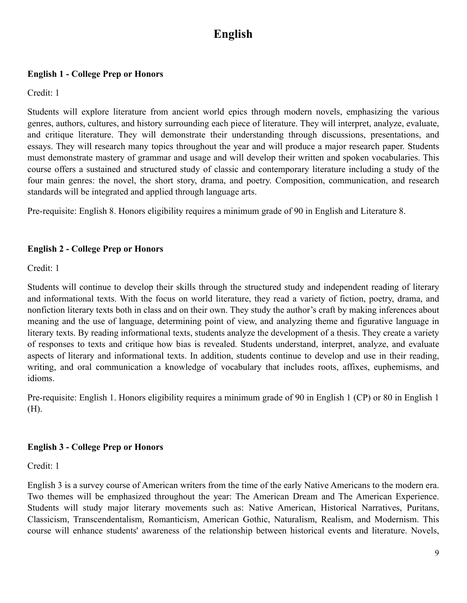# **English**

### **English 1 - College Prep or Honors**

Credit: 1

Students will explore literature from ancient world epics through modern novels, emphasizing the various genres, authors, cultures, and history surrounding each piece of literature. They will interpret, analyze, evaluate, and critique literature. They will demonstrate their understanding through discussions, presentations, and essays. They will research many topics throughout the year and will produce a major research paper. Students must demonstrate mastery of grammar and usage and will develop their written and spoken vocabularies. This course offers a sustained and structured study of classic and contemporary literature including a study of the four main genres: the novel, the short story, drama, and poetry. Composition, communication, and research standards will be integrated and applied through language arts.

Pre-requisite: English 8. Honors eligibility requires a minimum grade of 90 in English and Literature 8.

### **English 2 - College Prep or Honors**

Credit: 1

Students will continue to develop their skills through the structured study and independent reading of literary and informational texts. With the focus on world literature, they read a variety of fiction, poetry, drama, and nonfiction literary texts both in class and on their own. They study the author's craft by making inferences about meaning and the use of language, determining point of view, and analyzing theme and figurative language in literary texts. By reading informational texts, students analyze the development of a thesis. They create a variety of responses to texts and critique how bias is revealed. Students understand, interpret, analyze, and evaluate aspects of literary and informational texts. In addition, students continue to develop and use in their reading, writing, and oral communication a knowledge of vocabulary that includes roots, affixes, euphemisms, and idioms.

Pre-requisite: English 1. Honors eligibility requires a minimum grade of 90 in English 1 (CP) or 80 in English 1 (H).

# **English 3 - College Prep or Honors**

Credit: 1

English 3 is a survey course of American writers from the time of the early Native Americans to the modern era. Two themes will be emphasized throughout the year: The American Dream and The American Experience. Students will study major literary movements such as: Native American, Historical Narratives, Puritans, Classicism, Transcendentalism, Romanticism, American Gothic, Naturalism, Realism, and Modernism. This course will enhance students' awareness of the relationship between historical events and literature. Novels,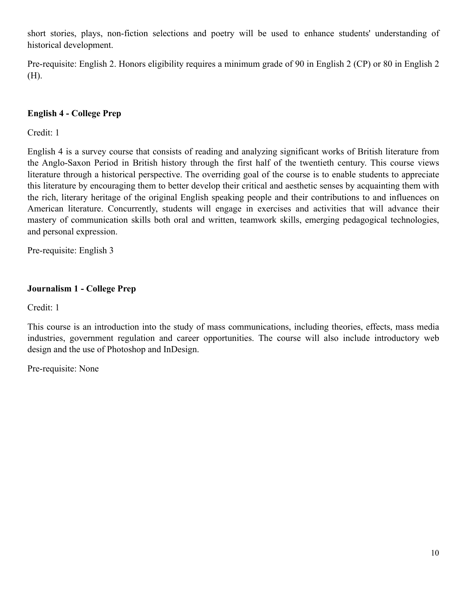short stories, plays, non-fiction selections and poetry will be used to enhance students' understanding of historical development.

Pre-requisite: English 2. Honors eligibility requires a minimum grade of 90 in English 2 (CP) or 80 in English 2 (H).

# **English 4 - College Prep**

Credit: 1

English 4 is a survey course that consists of reading and analyzing significant works of British literature from the Anglo-Saxon Period in British history through the first half of the twentieth century. This course views literature through a historical perspective. The overriding goal of the course is to enable students to appreciate this literature by encouraging them to better develop their critical and aesthetic senses by acquainting them with the rich, literary heritage of the original English speaking people and their contributions to and influences on American literature. Concurrently, students will engage in exercises and activities that will advance their mastery of communication skills both oral and written, teamwork skills, emerging pedagogical technologies, and personal expression.

Pre-requisite: English 3

# **Journalism 1 - College Prep**

Credit: 1

This course is an introduction into the study of mass communications, including theories, effects, mass media industries, government regulation and career opportunities. The course will also include introductory web design and the use of Photoshop and InDesign.

Pre-requisite: None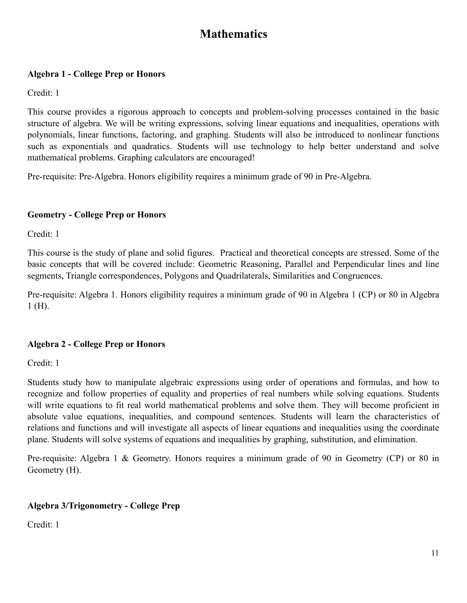# **Mathematics**

### **Algebra 1 - College Prep or Honors**

Credit: 1

This course provides a rigorous approach to concepts and problem-solving processes contained in the basic structure of algebra. We will be writing expressions, solving linear equations and inequalities, operations with polynomials, linear functions, factoring, and graphing. Students will also be introduced to nonlinear functions such as exponentials and quadratics. Students will use technology to help better understand and solve mathematical problems. Graphing calculators are encouraged!

Pre-requisite: Pre-Algebra. Honors eligibility requires a minimum grade of 90 in Pre-Algebra.

### **Geometry - College Prep or Honors**

Credit: 1

This course is the study of plane and solid figures. Practical and theoretical concepts are stressed. Some of the basic concepts that will be covered include: Geometric Reasoning, Parallel and Perpendicular lines and line segments, Triangle correspondences, Polygons and Quadrilaterals, Similarities and Congruences.

Pre-requisite: Algebra 1. Honors eligibility requires a minimum grade of 90 in Algebra 1 (CP) or 80 in Algebra 1 (H).

# **Algebra 2 - College Prep or Honors**

Credit: 1

Students study how to manipulate algebraic expressions using order of operations and formulas, and how to recognize and follow properties of equality and properties of real numbers while solving equations. Students will write equations to fit real world mathematical problems and solve them. They will become proficient in absolute value equations, inequalities, and compound sentences. Students will learn the characteristics of relations and functions and will investigate all aspects of linear equations and inequalities using the coordinate plane. Students will solve systems of equations and inequalities by graphing, substitution, and elimination.

Pre-requisite: Algebra 1 & Geometry. Honors requires a minimum grade of 90 in Geometry (CP) or 80 in Geometry (H).

# **Algebra 3/Trigonometry - College Prep**

Credit: 1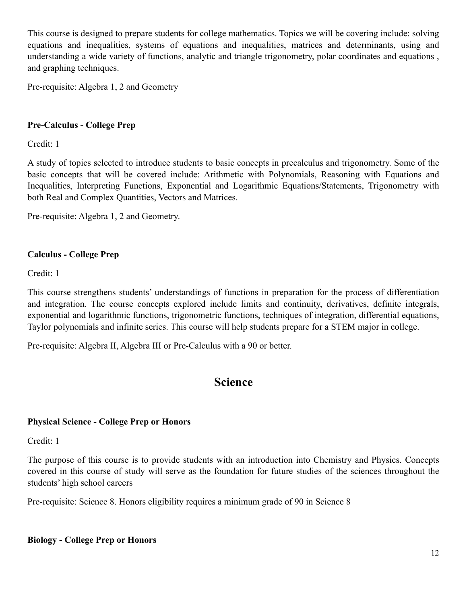This course is designed to prepare students for college mathematics. Topics we will be covering include: solving equations and inequalities, systems of equations and inequalities, matrices and determinants, using and understanding a wide variety of functions, analytic and triangle trigonometry, polar coordinates and equations , and graphing techniques.

Pre-requisite: Algebra 1, 2 and Geometry

### **Pre-Calculus - College Prep**

Credit: 1

A study of topics selected to introduce students to basic concepts in precalculus and trigonometry. Some of the basic concepts that will be covered include: Arithmetic with Polynomials, Reasoning with Equations and Inequalities, Interpreting Functions, Exponential and Logarithmic Equations/Statements, Trigonometry with both Real and Complex Quantities, Vectors and Matrices.

Pre-requisite: Algebra 1, 2 and Geometry.

#### **Calculus - College Prep**

Credit: 1

This course strengthens students' understandings of functions in preparation for the process of differentiation and integration. The course concepts explored include limits and continuity, derivatives, definite integrals, exponential and logarithmic functions, trigonometric functions, techniques of integration, differential equations, Taylor polynomials and infinite series. This course will help students prepare for a STEM major in college.

Pre-requisite: Algebra II, Algebra III or Pre-Calculus with a 90 or better.

# **Science**

#### **Physical Science - College Prep or Honors**

Credit: 1

The purpose of this course is to provide students with an introduction into Chemistry and Physics. Concepts covered in this course of study will serve as the foundation for future studies of the sciences throughout the students' high school careers

Pre-requisite: Science 8. Honors eligibility requires a minimum grade of 90 in Science 8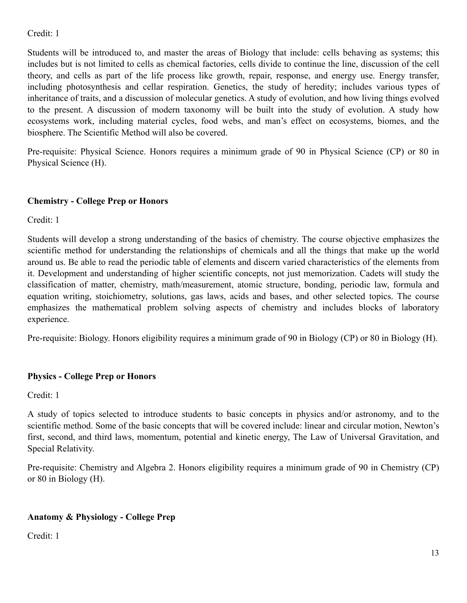# Credit: 1

Students will be introduced to, and master the areas of Biology that include: cells behaving as systems; this includes but is not limited to cells as chemical factories, cells divide to continue the line, discussion of the cell theory, and cells as part of the life process like growth, repair, response, and energy use. Energy transfer, including photosynthesis and cellar respiration. Genetics, the study of heredity; includes various types of inheritance of traits, and a discussion of molecular genetics. A study of evolution, and how living things evolved to the present. A discussion of modern taxonomy will be built into the study of evolution. A study how ecosystems work, including material cycles, food webs, and man's effect on ecosystems, biomes, and the biosphere. The Scientific Method will also be covered.

Pre-requisite: Physical Science. Honors requires a minimum grade of 90 in Physical Science (CP) or 80 in Physical Science (H).

### **Chemistry - College Prep or Honors**

Credit: 1

Students will develop a strong understanding of the basics of chemistry. The course objective emphasizes the scientific method for understanding the relationships of chemicals and all the things that make up the world around us. Be able to read the periodic table of elements and discern varied characteristics of the elements from it. Development and understanding of higher scientific concepts, not just memorization. Cadets will study the classification of matter, chemistry, math/measurement, atomic structure, bonding, periodic law, formula and equation writing, stoichiometry, solutions, gas laws, acids and bases, and other selected topics. The course emphasizes the mathematical problem solving aspects of chemistry and includes blocks of laboratory experience.

Pre-requisite: Biology. Honors eligibility requires a minimum grade of 90 in Biology (CP) or 80 in Biology (H).

#### **Physics - College Prep or Honors**

Credit: 1

A study of topics selected to introduce students to basic concepts in physics and/or astronomy, and to the scientific method. Some of the basic concepts that will be covered include: linear and circular motion, Newton's first, second, and third laws, momentum, potential and kinetic energy, The Law of Universal Gravitation, and Special Relativity.

Pre-requisite: Chemistry and Algebra 2. Honors eligibility requires a minimum grade of 90 in Chemistry (CP) or 80 in Biology (H).

# **Anatomy & Physiology - College Prep**

Credit: 1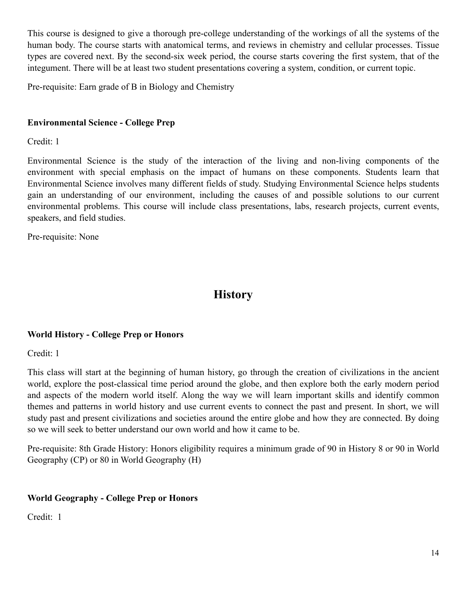This course is designed to give a thorough pre-college understanding of the workings of all the systems of the human body. The course starts with anatomical terms, and reviews in chemistry and cellular processes. Tissue types are covered next. By the second-six week period, the course starts covering the first system, that of the integument. There will be at least two student presentations covering a system, condition, or current topic.

Pre-requisite: Earn grade of B in Biology and Chemistry

### **Environmental Science - College Prep**

Credit: 1

Environmental Science is the study of the interaction of the living and non-living components of the environment with special emphasis on the impact of humans on these components. Students learn that Environmental Science involves many different fields of study. Studying Environmental Science helps students gain an understanding of our environment, including the causes of and possible solutions to our current environmental problems. This course will include class presentations, labs, research projects, current events, speakers, and field studies.

Pre-requisite: None

# **History**

#### **World History - College Prep or Honors**

Credit: 1

This class will start at the beginning of human history, go through the creation of civilizations in the ancient world, explore the post-classical time period around the globe, and then explore both the early modern period and aspects of the modern world itself. Along the way we will learn important skills and identify common themes and patterns in world history and use current events to connect the past and present. In short, we will study past and present civilizations and societies around the entire globe and how they are connected. By doing so we will seek to better understand our own world and how it came to be.

Pre-requisite: 8th Grade History: Honors eligibility requires a minimum grade of 90 in History 8 or 90 in World Geography (CP) or 80 in World Geography (H)

#### **World Geography - College Prep or Honors**

Credit: 1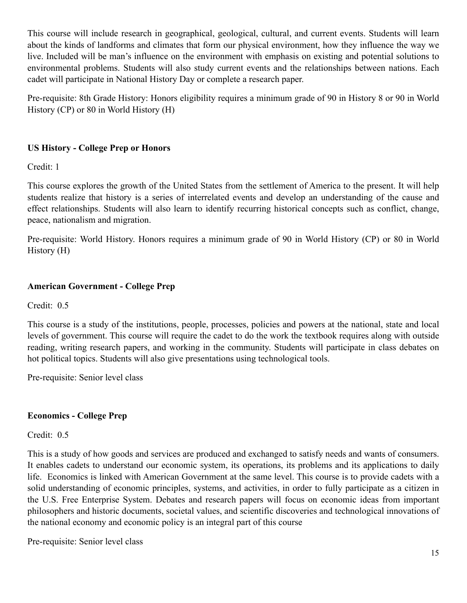This course will include research in geographical, geological, cultural, and current events. Students will learn about the kinds of landforms and climates that form our physical environment, how they influence the way we live. Included will be man's influence on the environment with emphasis on existing and potential solutions to environmental problems. Students will also study current events and the relationships between nations. Each cadet will participate in National History Day or complete a research paper.

Pre-requisite: 8th Grade History: Honors eligibility requires a minimum grade of 90 in History 8 or 90 in World History (CP) or 80 in World History (H)

# **US History - College Prep or Honors**

Credit: 1

This course explores the growth of the United States from the settlement of America to the present. It will help students realize that history is a series of interrelated events and develop an understanding of the cause and effect relationships. Students will also learn to identify recurring historical concepts such as conflict, change, peace, nationalism and migration.

Pre-requisite: World History. Honors requires a minimum grade of 90 in World History (CP) or 80 in World History (H)

# **American Government - College Prep**

Credit: 0.5

This course is a study of the institutions, people, processes, policies and powers at the national, state and local levels of government. This course will require the cadet to do the work the textbook requires along with outside reading, writing research papers, and working in the community. Students will participate in class debates on hot political topics. Students will also give presentations using technological tools.

Pre-requisite: Senior level class

# **Economics - College Prep**

Credit: 0.5

This is a study of how goods and services are produced and exchanged to satisfy needs and wants of consumers. It enables cadets to understand our economic system, its operations, its problems and its applications to daily life. Economics is linked with American Government at the same level. This course is to provide cadets with a solid understanding of economic principles, systems, and activities, in order to fully participate as a citizen in the U.S. Free Enterprise System. Debates and research papers will focus on economic ideas from important philosophers and historic documents, societal values, and scientific discoveries and technological innovations of the national economy and economic policy is an integral part of this course

Pre-requisite: Senior level class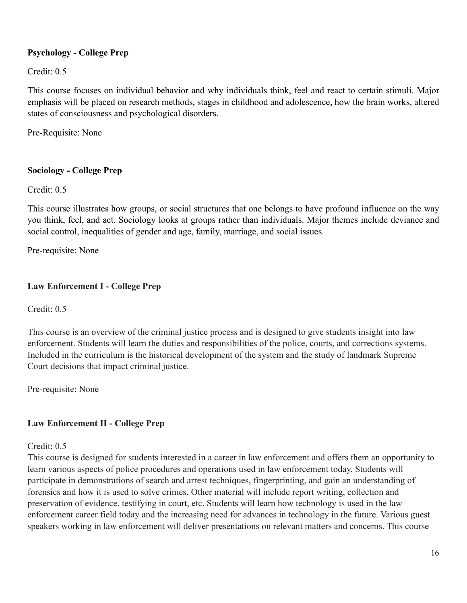# **Psychology - College Prep**

Credit: 0.5

This course focuses on individual behavior and why individuals think, feel and react to certain stimuli. Major emphasis will be placed on research methods, stages in childhood and adolescence, how the brain works, altered states of consciousness and psychological disorders.

Pre-Requisite: None

### **Sociology - College Prep**

Credit: 0.5

This course illustrates how groups, or social structures that one belongs to have profound influence on the way you think, feel, and act. Sociology looks at groups rather than individuals. Major themes include deviance and social control, inequalities of gender and age, family, marriage, and social issues.

Pre-requisite: None

### **Law Enforcement I - College Prep**

Credit: 0.5

This course is an overview of the criminal justice process and is designed to give students insight into law enforcement. Students will learn the duties and responsibilities of the police, courts, and corrections systems. Included in the curriculum is the historical development of the system and the study of landmark Supreme Court decisions that impact criminal justice.

Pre-requisite: None

# **Law Enforcement II - College Prep**

Credit: 0.5

This course is designed for students interested in a career in law enforcement and offers them an opportunity to learn various aspects of police procedures and operations used in law enforcement today. Students will participate in demonstrations of search and arrest techniques, fingerprinting, and gain an understanding of forensics and how it is used to solve crimes. Other material will include report writing, collection and preservation of evidence, testifying in court, etc. Students will learn how technology is used in the law enforcement career field today and the increasing need for advances in technology in the future. Various guest speakers working in law enforcement will deliver presentations on relevant matters and concerns. This course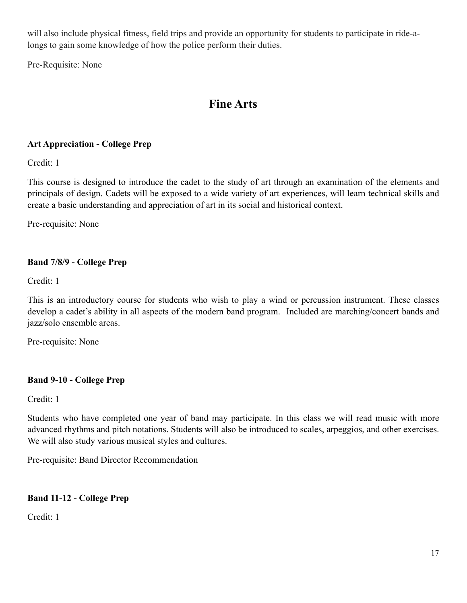will also include physical fitness, field trips and provide an opportunity for students to participate in ride-alongs to gain some knowledge of how the police perform their duties.

Pre-Requisite: None

# **Fine Arts**

### **Art Appreciation - College Prep**

Credit: 1

This course is designed to introduce the cadet to the study of art through an examination of the elements and principals of design. Cadets will be exposed to a wide variety of art experiences, will learn technical skills and create a basic understanding and appreciation of art in its social and historical context.

Pre-requisite: None

# **Band 7/8/9 - College Prep**

Credit: 1

This is an introductory course for students who wish to play a wind or percussion instrument. These classes develop a cadet's ability in all aspects of the modern band program. Included are marching/concert bands and jazz/solo ensemble areas.

Pre-requisite: None

#### **Band 9-10 - College Prep**

Credit: 1

Students who have completed one year of band may participate. In this class we will read music with more advanced rhythms and pitch notations. Students will also be introduced to scales, arpeggios, and other exercises. We will also study various musical styles and cultures.

Pre-requisite: Band Director Recommendation

#### **Band 11-12 - College Prep**

Credit: 1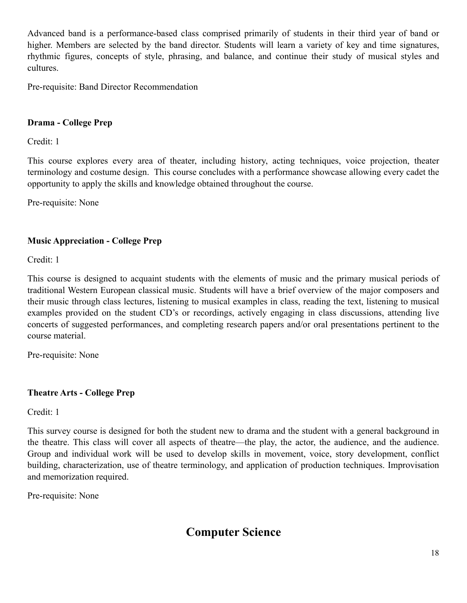Advanced band is a performance-based class comprised primarily of students in their third year of band or higher. Members are selected by the band director. Students will learn a variety of key and time signatures, rhythmic figures, concepts of style, phrasing, and balance, and continue their study of musical styles and cultures.

Pre-requisite: Band Director Recommendation

### **Drama - College Prep**

Credit: 1

This course explores every area of theater, including history, acting techniques, voice projection, theater terminology and costume design. This course concludes with a performance showcase allowing every cadet the opportunity to apply the skills and knowledge obtained throughout the course.

Pre-requisite: None

### **Music Appreciation - College Prep**

Credit: 1

This course is designed to acquaint students with the elements of music and the primary musical periods of traditional Western European classical music. Students will have a brief overview of the major composers and their music through class lectures, listening to musical examples in class, reading the text, listening to musical examples provided on the student CD's or recordings, actively engaging in class discussions, attending live concerts of suggested performances, and completing research papers and/or oral presentations pertinent to the course material.

Pre-requisite: None

#### **Theatre Arts - College Prep**

Credit: 1

This survey course is designed for both the student new to drama and the student with a general background in the theatre. This class will cover all aspects of theatre—the play, the actor, the audience, and the audience. Group and individual work will be used to develop skills in movement, voice, story development, conflict building, characterization, use of theatre terminology, and application of production techniques. Improvisation and memorization required.

Pre-requisite: None

# **Computer Science**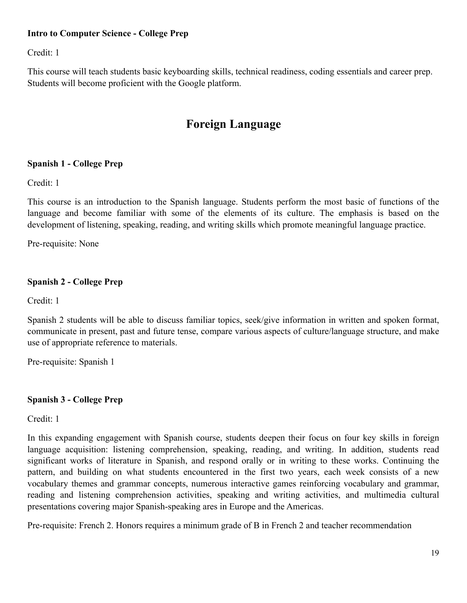### **Intro to Computer Science - College Prep**

Credit: 1

This course will teach students basic keyboarding skills, technical readiness, coding essentials and career prep. Students will become proficient with the Google platform.

# **Foreign Language**

#### **Spanish 1 - College Prep**

Credit: 1

This course is an introduction to the Spanish language. Students perform the most basic of functions of the language and become familiar with some of the elements of its culture. The emphasis is based on the development of listening, speaking, reading, and writing skills which promote meaningful language practice.

Pre-requisite: None

#### **Spanish 2 - College Prep**

Credit: 1

Spanish 2 students will be able to discuss familiar topics, seek/give information in written and spoken format, communicate in present, past and future tense, compare various aspects of culture/language structure, and make use of appropriate reference to materials.

Pre-requisite: Spanish 1

#### **Spanish 3 - College Prep**

Credit: 1

In this expanding engagement with Spanish course, students deepen their focus on four key skills in foreign language acquisition: listening comprehension, speaking, reading, and writing. In addition, students read significant works of literature in Spanish, and respond orally or in writing to these works. Continuing the pattern, and building on what students encountered in the first two years, each week consists of a new vocabulary themes and grammar concepts, numerous interactive games reinforcing vocabulary and grammar, reading and listening comprehension activities, speaking and writing activities, and multimedia cultural presentations covering major Spanish-speaking ares in Europe and the Americas.

Pre-requisite: French 2. Honors requires a minimum grade of B in French 2 and teacher recommendation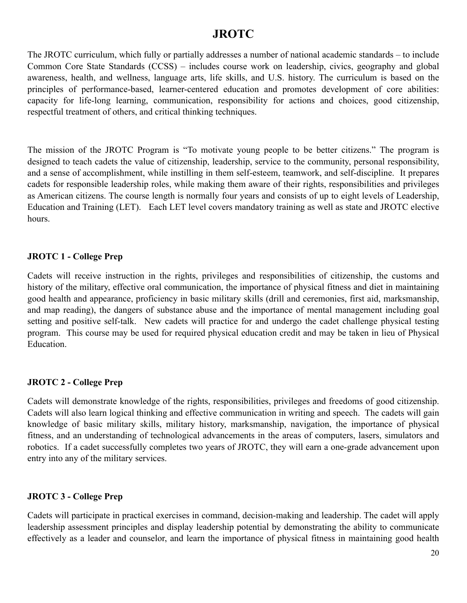# **JROTC**

The JROTC curriculum, which fully or partially addresses a number of national academic standards – to include Common Core State Standards (CCSS) – includes course work on leadership, civics, geography and global awareness, health, and wellness, language arts, life skills, and U.S. history. The curriculum is based on the principles of performance-based, learner-centered education and promotes development of core abilities: capacity for life-long learning, communication, responsibility for actions and choices, good citizenship, respectful treatment of others, and critical thinking techniques.

The mission of the JROTC Program is "To motivate young people to be better citizens." The program is designed to teach cadets the value of citizenship, leadership, service to the community, personal responsibility, and a sense of accomplishment, while instilling in them self-esteem, teamwork, and self-discipline. It prepares cadets for responsible leadership roles, while making them aware of their rights, responsibilities and privileges as American citizens. The course length is normally four years and consists of up to eight levels of Leadership, Education and Training (LET). Each LET level covers mandatory training as well as state and JROTC elective hours.

#### **JROTC 1 - College Prep**

Cadets will receive instruction in the rights, privileges and responsibilities of citizenship, the customs and history of the military, effective oral communication, the importance of physical fitness and diet in maintaining good health and appearance, proficiency in basic military skills (drill and ceremonies, first aid, marksmanship, and map reading), the dangers of substance abuse and the importance of mental management including goal setting and positive self-talk. New cadets will practice for and undergo the cadet challenge physical testing program. This course may be used for required physical education credit and may be taken in lieu of Physical Education.

#### **JROTC 2 - College Prep**

Cadets will demonstrate knowledge of the rights, responsibilities, privileges and freedoms of good citizenship. Cadets will also learn logical thinking and effective communication in writing and speech. The cadets will gain knowledge of basic military skills, military history, marksmanship, navigation, the importance of physical fitness, and an understanding of technological advancements in the areas of computers, lasers, simulators and robotics. If a cadet successfully completes two years of JROTC, they will earn a one-grade advancement upon entry into any of the military services.

#### **JROTC 3 - College Prep**

Cadets will participate in practical exercises in command, decision-making and leadership. The cadet will apply leadership assessment principles and display leadership potential by demonstrating the ability to communicate effectively as a leader and counselor, and learn the importance of physical fitness in maintaining good health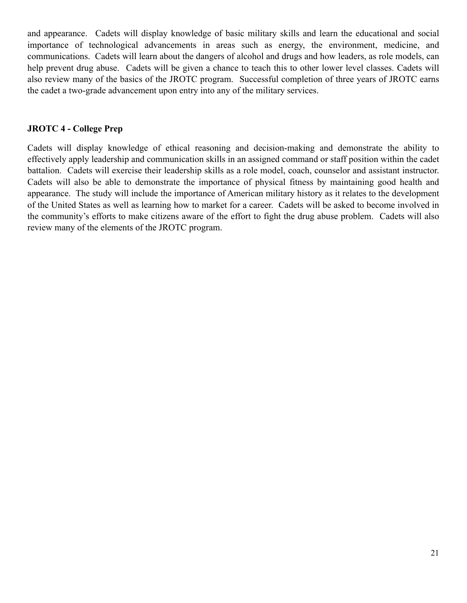and appearance. Cadets will display knowledge of basic military skills and learn the educational and social importance of technological advancements in areas such as energy, the environment, medicine, and communications. Cadets will learn about the dangers of alcohol and drugs and how leaders, as role models, can help prevent drug abuse. Cadets will be given a chance to teach this to other lower level classes. Cadets will also review many of the basics of the JROTC program. Successful completion of three years of JROTC earns the cadet a two-grade advancement upon entry into any of the military services.

### **JROTC 4 - College Prep**

Cadets will display knowledge of ethical reasoning and decision-making and demonstrate the ability to effectively apply leadership and communication skills in an assigned command or staff position within the cadet battalion. Cadets will exercise their leadership skills as a role model, coach, counselor and assistant instructor. Cadets will also be able to demonstrate the importance of physical fitness by maintaining good health and appearance. The study will include the importance of American military history as it relates to the development of the United States as well as learning how to market for a career. Cadets will be asked to become involved in the community's efforts to make citizens aware of the effort to fight the drug abuse problem. Cadets will also review many of the elements of the JROTC program.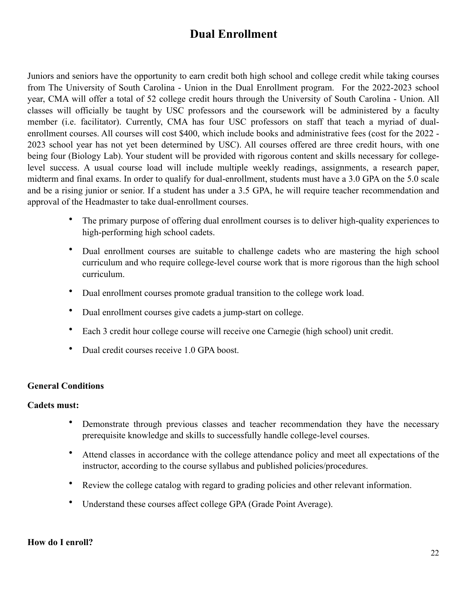# **Dual Enrollment**

Juniors and seniors have the opportunity to earn credit both high school and college credit while taking courses from The University of South Carolina - Union in the Dual Enrollment program. For the 2022-2023 school year, CMA will offer a total of 52 college credit hours through the University of South Carolina - Union. All classes will officially be taught by USC professors and the coursework will be administered by a faculty member (i.e. facilitator). Currently, CMA has four USC professors on staff that teach a myriad of dualenrollment courses. All courses will cost \$400, which include books and administrative fees (cost for the 2022 - 2023 school year has not yet been determined by USC). All courses offered are three credit hours, with one being four (Biology Lab). Your student will be provided with rigorous content and skills necessary for collegelevel success. A usual course load will include multiple weekly readings, assignments, a research paper, midterm and final exams. In order to qualify for dual-enrollment, students must have a 3.0 GPA on the 5.0 scale and be a rising junior or senior. If a student has under a 3.5 GPA, he will require teacher recommendation and approval of the Headmaster to take dual-enrollment courses.

- The primary purpose of offering dual enrollment courses is to deliver high-quality experiences to high-performing high school cadets.
- Dual enrollment courses are suitable to challenge cadets who are mastering the high school curriculum and who require college-level course work that is more rigorous than the high school curriculum.
- Dual enrollment courses promote gradual transition to the college work load.
- Dual enrollment courses give cadets a jump-start on college.
- Each 3 credit hour college course will receive one Carnegie (high school) unit credit.
- Dual credit courses receive 1.0 GPA boost.

# **General Conditions**

#### **Cadets must:**

- Demonstrate through previous classes and teacher recommendation they have the necessary prerequisite knowledge and skills to successfully handle college-level courses.
- Attend classes in accordance with the college attendance policy and meet all expectations of the instructor, according to the course syllabus and published policies/procedures.
- Review the college catalog with regard to grading policies and other relevant information.
- Understand these courses affect college GPA (Grade Point Average).

#### **How do I enroll?**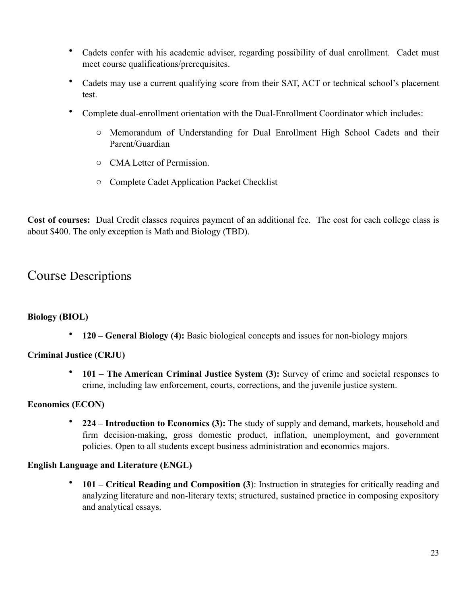- Cadets confer with his academic adviser, regarding possibility of dual enrollment. Cadet must meet course qualifications/prerequisites.
- Cadets may use a current qualifying score from their SAT, ACT or technical school's placement test.
- Complete dual-enrollment orientation with the Dual-Enrollment Coordinator which includes:
	- o Memorandum of Understanding for Dual Enrollment High School Cadets and their Parent/Guardian
	- o CMA Letter of Permission.
	- o Complete Cadet Application Packet Checklist

**Cost of courses:** Dual Credit classes requires payment of an additional fee. The cost for each college class is about \$400. The only exception is Math and Biology (TBD).

# Course Descriptions

#### **Biology (BIOL)**

• **120 – General Biology (4):** Basic biological concepts and issues for non-biology majors

#### **Criminal Justice (CRJU)**

• **101** – **The American Criminal Justice System (3):** Survey of crime and societal responses to crime, including law enforcement, courts, corrections, and the juvenile justice system.

#### **Economics (ECON)**

• **224 – Introduction to Economics (3):** The study of supply and demand, markets, household and firm decision-making, gross domestic product, inflation, unemployment, and government policies. Open to all students except business administration and economics majors.

#### **English Language and Literature (ENGL)**

• **101 – Critical Reading and Composition (3**): Instruction in strategies for critically reading and analyzing literature and non-literary texts; structured, sustained practice in composing expository and analytical essays.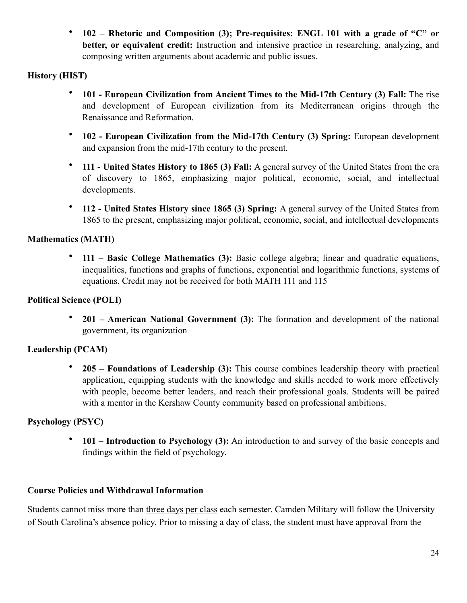• **102 – Rhetoric and Composition (3); Pre-requisites: ENGL 101 with a grade of "C" or better, or equivalent credit:** Instruction and intensive practice in researching, analyzing, and composing written arguments about academic and public issues.

# **History (HIST)**

- **101 European Civilization from Ancient Times to the Mid-17th Century (3) Fall:** The rise and development of European civilization from its Mediterranean origins through the Renaissance and Reformation.
- **102 European Civilization from the Mid-17th Century (3) Spring:** European development and expansion from the mid-17th century to the present.
- **111 United States History to 1865 (3) Fall:** A general survey of the United States from the era of discovery to 1865, emphasizing major political, economic, social, and intellectual developments.
- **112 United States History since 1865 (3) Spring:** A general survey of the United States from 1865 to the present, emphasizing major political, economic, social, and intellectual developments

# **Mathematics (MATH)**

• **111 – Basic College Mathematics (3):** Basic college algebra; linear and quadratic equations, inequalities, functions and graphs of functions, exponential and logarithmic functions, systems of equations. Credit may not be received for both MATH 111 and 115

# **Political Science (POLI)**

• **201 – American National Government (3):** The formation and development of the national government, its organization

# **Leadership (PCAM)**

• **205 – Foundations of Leadership (3):** This course combines leadership theory with practical application, equipping students with the knowledge and skills needed to work more effectively with people, become better leaders, and reach their professional goals. Students will be paired with a mentor in the Kershaw County community based on professional ambitions.

# **Psychology (PSYC)**

• **101** – **Introduction to Psychology (3):** An introduction to and survey of the basic concepts and findings within the field of psychology.

# **Course Policies and Withdrawal Information**

Students cannot miss more than three days per class each semester. Camden Military will follow the University of South Carolina's absence policy. Prior to missing a day of class, the student must have approval from the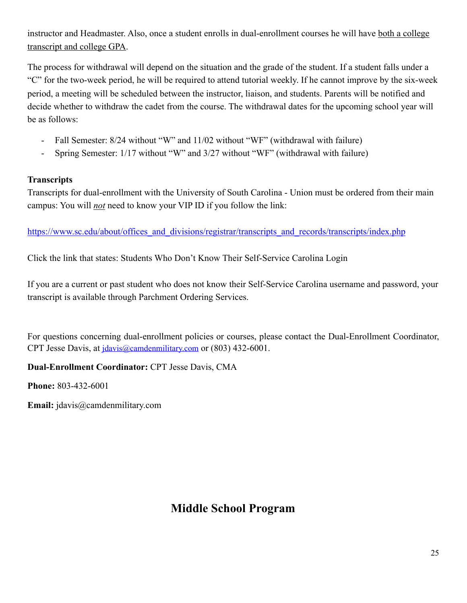instructor and Headmaster. Also, once a student enrolls in dual-enrollment courses he will have both a college transcript and college GPA.

The process for withdrawal will depend on the situation and the grade of the student. If a student falls under a "C" for the two-week period, he will be required to attend tutorial weekly. If he cannot improve by the six-week period, a meeting will be scheduled between the instructor, liaison, and students. Parents will be notified and decide whether to withdraw the cadet from the course. The withdrawal dates for the upcoming school year will be as follows:

- Fall Semester: 8/24 without "W" and 11/02 without "WF" (withdrawal with failure)
- Spring Semester: 1/17 without "W" and 3/27 without "WF" (withdrawal with failure)

# **Transcripts**

Transcripts for dual-enrollment with the University of South Carolina - Union must be ordered from their main campus: You will *not* need to know your VIP ID if you follow the link:

[https://www.sc.edu/about/offices\\_and\\_divisions/registrar/transcripts\\_and\\_records/transcripts/index.php](https://www.sc.edu/about/offices_and_divisions/registrar/transcripts_and_records/transcripts/index.php)

Click the link that states: Students Who Don't Know Their Self-Service Carolina Login

If you are a current or past student who does not know their Self-Service Carolina username and password, your transcript is available through Parchment Ordering Services.

For questions concerning dual-enrollment policies or courses, please contact the Dual-Enrollment Coordinator, CPT Jesse Davis, at *jdavis@camdenmilitary.com* or (803) 432-6001.

# **Dual-Enrollment Coordinator:** CPT Jesse Davis, CMA

**Phone:** 803-432-6001

**Email:** jdavis@camdenmilitary.com

# **Middle School Program**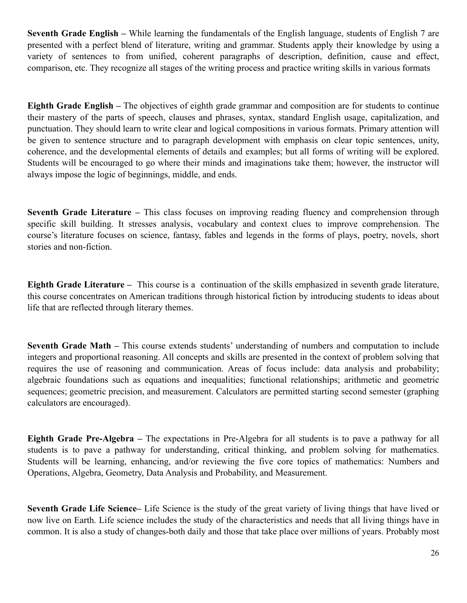**Seventh Grade English –** While learning the fundamentals of the English language, students of English 7 are presented with a perfect blend of literature, writing and grammar. Students apply their knowledge by using a variety of sentences to from unified, coherent paragraphs of description, definition, cause and effect, comparison, etc. They recognize all stages of the writing process and practice writing skills in various formats

**Eighth Grade English –** The objectives of eighth grade grammar and composition are for students to continue their mastery of the parts of speech, clauses and phrases, syntax, standard English usage, capitalization, and punctuation. They should learn to write clear and logical compositions in various formats. Primary attention will be given to sentence structure and to paragraph development with emphasis on clear topic sentences, unity, coherence, and the developmental elements of details and examples; but all forms of writing will be explored. Students will be encouraged to go where their minds and imaginations take them; however, the instructor will always impose the logic of beginnings, middle, and ends.

**Seventh Grade Literature –** This class focuses on improving reading fluency and comprehension through specific skill building. It stresses analysis, vocabulary and context clues to improve comprehension. The course's literature focuses on science, fantasy, fables and legends in the forms of plays, poetry, novels, short stories and non-fiction.

**Eighth Grade Literature –** This course is a continuation of the skills emphasized in seventh grade literature, this course concentrates on American traditions through historical fiction by introducing students to ideas about life that are reflected through literary themes.

**Seventh Grade Math –** This course extends students' understanding of numbers and computation to include integers and proportional reasoning. All concepts and skills are presented in the context of problem solving that requires the use of reasoning and communication. Areas of focus include: data analysis and probability; algebraic foundations such as equations and inequalities; functional relationships; arithmetic and geometric sequences; geometric precision, and measurement. Calculators are permitted starting second semester (graphing calculators are encouraged).

**Eighth Grade Pre-Algebra –** The expectations in Pre-Algebra for all students is to pave a pathway for all students is to pave a pathway for understanding, critical thinking, and problem solving for mathematics. Students will be learning, enhancing, and/or reviewing the five core topics of mathematics: Numbers and Operations, Algebra, Geometry, Data Analysis and Probability, and Measurement.

**Seventh Grade Life Science–** Life Science is the study of the great variety of living things that have lived or now live on Earth. Life science includes the study of the characteristics and needs that all living things have in common. It is also a study of changes-both daily and those that take place over millions of years. Probably most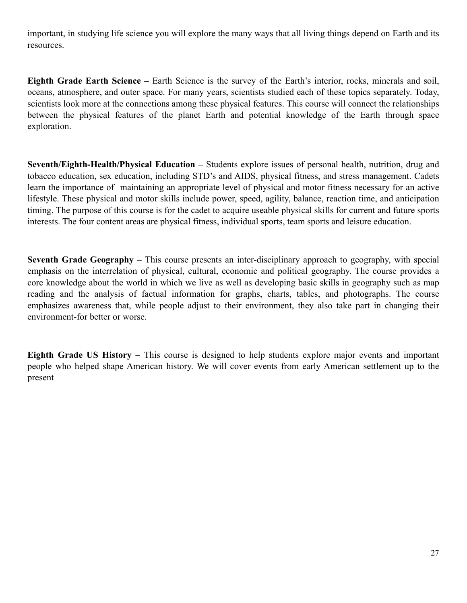important, in studying life science you will explore the many ways that all living things depend on Earth and its resources.

**Eighth Grade Earth Science –** Earth Science is the survey of the Earth's interior, rocks, minerals and soil, oceans, atmosphere, and outer space. For many years, scientists studied each of these topics separately. Today, scientists look more at the connections among these physical features. This course will connect the relationships between the physical features of the planet Earth and potential knowledge of the Earth through space exploration.

**Seventh/Eighth-Health/Physical Education –** Students explore issues of personal health, nutrition, drug and tobacco education, sex education, including STD's and AIDS, physical fitness, and stress management. Cadets learn the importance of maintaining an appropriate level of physical and motor fitness necessary for an active lifestyle. These physical and motor skills include power, speed, agility, balance, reaction time, and anticipation timing. The purpose of this course is for the cadet to acquire useable physical skills for current and future sports interests. The four content areas are physical fitness, individual sports, team sports and leisure education.

**Seventh Grade Geography –** This course presents an inter-disciplinary approach to geography, with special emphasis on the interrelation of physical, cultural, economic and political geography. The course provides a core knowledge about the world in which we live as well as developing basic skills in geography such as map reading and the analysis of factual information for graphs, charts, tables, and photographs. The course emphasizes awareness that, while people adjust to their environment, they also take part in changing their environment-for better or worse.

**Eighth Grade US History –** This course is designed to help students explore major events and important people who helped shape American history. We will cover events from early American settlement up to the present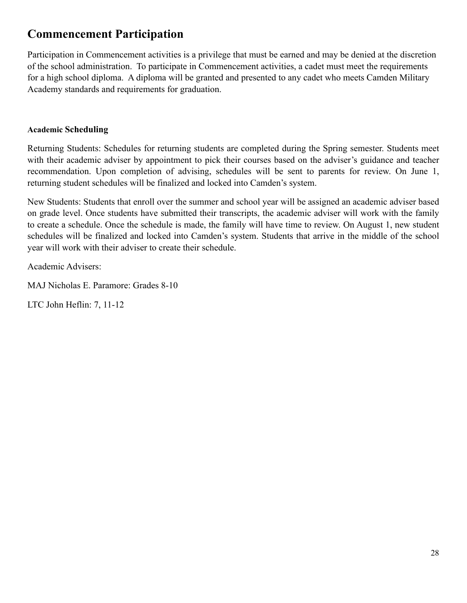# **Commencement Participation**

Participation in Commencement activities is a privilege that must be earned and may be denied at the discretion of the school administration. To participate in Commencement activities, a cadet must meet the requirements for a high school diploma. A diploma will be granted and presented to any cadet who meets Camden Military Academy standards and requirements for graduation.

#### **Academic Scheduling**

Returning Students: Schedules for returning students are completed during the Spring semester. Students meet with their academic adviser by appointment to pick their courses based on the adviser's guidance and teacher recommendation. Upon completion of advising, schedules will be sent to parents for review. On June 1, returning student schedules will be finalized and locked into Camden's system.

New Students: Students that enroll over the summer and school year will be assigned an academic adviser based on grade level. Once students have submitted their transcripts, the academic adviser will work with the family to create a schedule. Once the schedule is made, the family will have time to review. On August 1, new student schedules will be finalized and locked into Camden's system. Students that arrive in the middle of the school year will work with their adviser to create their schedule.

Academic Advisers:

MAJ Nicholas E. Paramore: Grades 8-10

LTC John Heflin: 7, 11-12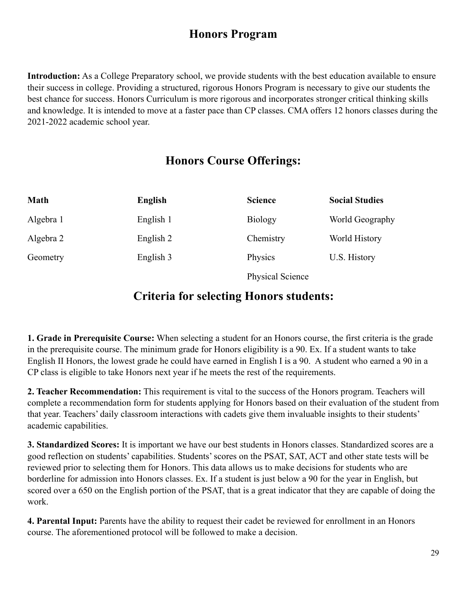# **Honors Program**

**Introduction:** As a College Preparatory school, we provide students with the best education available to ensure their success in college. Providing a structured, rigorous Honors Program is necessary to give our students the best chance for success. Honors Curriculum is more rigorous and incorporates stronger critical thinking skills and knowledge. It is intended to move at a faster pace than CP classes. CMA offers 12 honors classes during the 2021-2022 academic school year.

# **Honors Course Offerings:**

| <b>Math</b> | English   | <b>Science</b>          | <b>Social Studies</b> |
|-------------|-----------|-------------------------|-----------------------|
| Algebra 1   | English 1 | <b>Biology</b>          | World Geography       |
| Algebra 2   | English 2 | Chemistry               | World History         |
| Geometry    | English 3 | Physics                 | U.S. History          |
|             |           | <b>Physical Science</b> |                       |

# **Criteria for selecting Honors students:**

**1. Grade in Prerequisite Course:** When selecting a student for an Honors course, the first criteria is the grade in the prerequisite course. The minimum grade for Honors eligibility is a 90. Ex. If a student wants to take English II Honors, the lowest grade he could have earned in English I is a 90. A student who earned a 90 in a CP class is eligible to take Honors next year if he meets the rest of the requirements.

**2. Teacher Recommendation:** This requirement is vital to the success of the Honors program. Teachers will complete a recommendation form for students applying for Honors based on their evaluation of the student from that year. Teachers' daily classroom interactions with cadets give them invaluable insights to their students' academic capabilities.

**3. Standardized Scores:** It is important we have our best students in Honors classes. Standardized scores are a good reflection on students' capabilities. Students' scores on the PSAT, SAT, ACT and other state tests will be reviewed prior to selecting them for Honors. This data allows us to make decisions for students who are borderline for admission into Honors classes. Ex. If a student is just below a 90 for the year in English, but scored over a 650 on the English portion of the PSAT, that is a great indicator that they are capable of doing the work.

**4. Parental Input:** Parents have the ability to request their cadet be reviewed for enrollment in an Honors course. The aforementioned protocol will be followed to make a decision.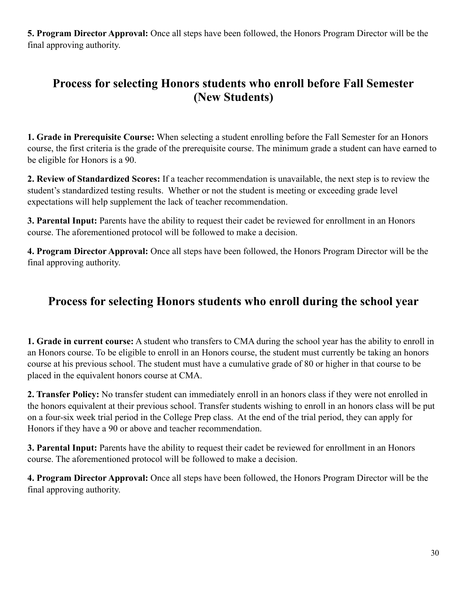**5. Program Director Approval:** Once all steps have been followed, the Honors Program Director will be the final approving authority.

# **Process for selecting Honors students who enroll before Fall Semester (New Students)**

**1. Grade in Prerequisite Course:** When selecting a student enrolling before the Fall Semester for an Honors course, the first criteria is the grade of the prerequisite course. The minimum grade a student can have earned to be eligible for Honors is a 90.

**2. Review of Standardized Scores:** If a teacher recommendation is unavailable, the next step is to review the student's standardized testing results. Whether or not the student is meeting or exceeding grade level expectations will help supplement the lack of teacher recommendation.

**3. Parental Input:** Parents have the ability to request their cadet be reviewed for enrollment in an Honors course. The aforementioned protocol will be followed to make a decision.

**4. Program Director Approval:** Once all steps have been followed, the Honors Program Director will be the final approving authority.

# **Process for selecting Honors students who enroll during the school year**

**1. Grade in current course:** A student who transfers to CMA during the school year has the ability to enroll in an Honors course. To be eligible to enroll in an Honors course, the student must currently be taking an honors course at his previous school. The student must have a cumulative grade of 80 or higher in that course to be placed in the equivalent honors course at CMA.

**2. Transfer Policy:** No transfer student can immediately enroll in an honors class if they were not enrolled in the honors equivalent at their previous school. Transfer students wishing to enroll in an honors class will be put on a four-six week trial period in the College Prep class. At the end of the trial period, they can apply for Honors if they have a 90 or above and teacher recommendation.

**3. Parental Input:** Parents have the ability to request their cadet be reviewed for enrollment in an Honors course. The aforementioned protocol will be followed to make a decision.

**4. Program Director Approval:** Once all steps have been followed, the Honors Program Director will be the final approving authority.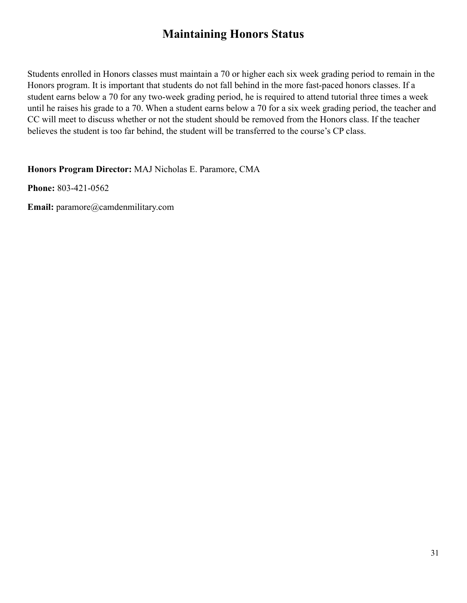# **Maintaining Honors Status**

Students enrolled in Honors classes must maintain a 70 or higher each six week grading period to remain in the Honors program. It is important that students do not fall behind in the more fast-paced honors classes. If a student earns below a 70 for any two-week grading period, he is required to attend tutorial three times a week until he raises his grade to a 70. When a student earns below a 70 for a six week grading period, the teacher and CC will meet to discuss whether or not the student should be removed from the Honors class. If the teacher believes the student is too far behind, the student will be transferred to the course's CP class.

**Honors Program Director:** MAJ Nicholas E. Paramore, CMA

**Phone:** 803-421-0562

**Email:** paramore@camdenmilitary.com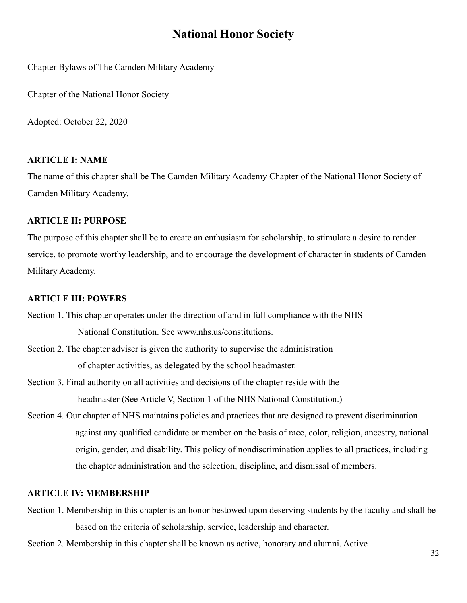# **National Honor Society**

Chapter Bylaws of The Camden Military Academy

Chapter of the National Honor Society

Adopted: October 22, 2020

#### **ARTICLE I: NAME**

The name of this chapter shall be The Camden Military Academy Chapter of the National Honor Society of Camden Military Academy.

#### **ARTICLE II: PURPOSE**

The purpose of this chapter shall be to create an enthusiasm for scholarship, to stimulate a desire to render service, to promote worthy leadership, and to encourage the development of character in students of Camden Military Academy.

#### **ARTICLE III: POWERS**

Section 1. This chapter operates under the direction of and in full compliance with the NHS National Constitution. See www.nhs.us/constitutions.

- Section 2. The chapter adviser is given the authority to supervise the administration of chapter activities, as delegated by the school headmaster.
- Section 3. Final authority on all activities and decisions of the chapter reside with the headmaster (See Article V, Section 1 of the NHS National Constitution.)
- Section 4. Our chapter of NHS maintains policies and practices that are designed to prevent discrimination against any qualified candidate or member on the basis of race, color, religion, ancestry, national origin, gender, and disability. This policy of nondiscrimination applies to all practices, including the chapter administration and the selection, discipline, and dismissal of members.

#### **ARTICLE IV: MEMBERSHIP**

- Section 1. Membership in this chapter is an honor bestowed upon deserving students by the faculty and shall be based on the criteria of scholarship, service, leadership and character.
- Section 2. Membership in this chapter shall be known as active, honorary and alumni. Active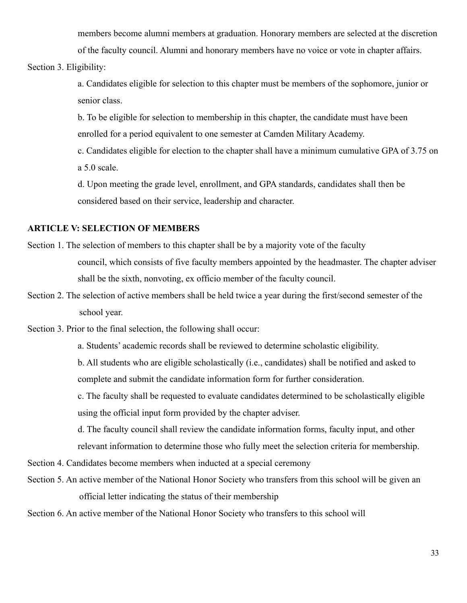members become alumni members at graduation. Honorary members are selected at the discretion of the faculty council. Alumni and honorary members have no voice or vote in chapter affairs.

Section 3. Eligibility:

a. Candidates eligible for selection to this chapter must be members of the sophomore, junior or senior class.

b. To be eligible for selection to membership in this chapter, the candidate must have been enrolled for a period equivalent to one semester at Camden Military Academy.

c. Candidates eligible for election to the chapter shall have a minimum cumulative GPA of 3.75 on a 5.0 scale.

d. Upon meeting the grade level, enrollment, and GPA standards, candidates shall then be considered based on their service, leadership and character.

#### **ARTICLE V: SELECTION OF MEMBERS**

- Section 1. The selection of members to this chapter shall be by a majority vote of the faculty council, which consists of five faculty members appointed by the headmaster. The chapter adviser shall be the sixth, nonvoting, ex officio member of the faculty council.
- Section 2. The selection of active members shall be held twice a year during the first/second semester of the school year.

Section 3. Prior to the final selection, the following shall occur:

a. Students' academic records shall be reviewed to determine scholastic eligibility.

b. All students who are eligible scholastically (i.e., candidates) shall be notified and asked to complete and submit the candidate information form for further consideration.

c. The faculty shall be requested to evaluate candidates determined to be scholastically eligible using the official input form provided by the chapter adviser.

d. The faculty council shall review the candidate information forms, faculty input, and other relevant information to determine those who fully meet the selection criteria for membership.

Section 4. Candidates become members when inducted at a special ceremony

Section 5. An active member of the National Honor Society who transfers from this school will be given an official letter indicating the status of their membership

Section 6. An active member of the National Honor Society who transfers to this school will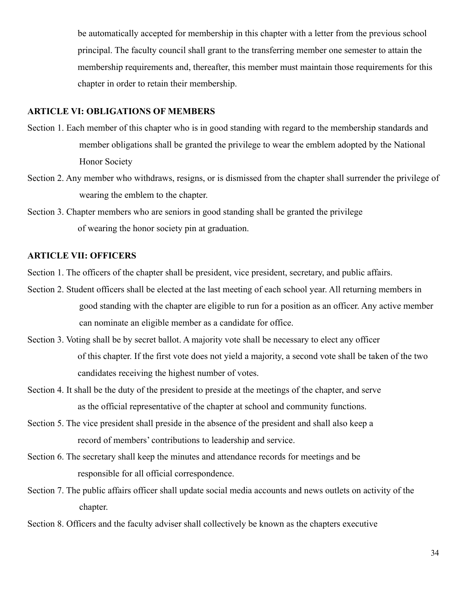be automatically accepted for membership in this chapter with a letter from the previous school principal. The faculty council shall grant to the transferring member one semester to attain the membership requirements and, thereafter, this member must maintain those requirements for this chapter in order to retain their membership.

#### **ARTICLE VI: OBLIGATIONS OF MEMBERS**

- Section 1. Each member of this chapter who is in good standing with regard to the membership standards and member obligations shall be granted the privilege to wear the emblem adopted by the National Honor Society
- Section 2. Any member who withdraws, resigns, or is dismissed from the chapter shall surrender the privilege of wearing the emblem to the chapter.
- Section 3. Chapter members who are seniors in good standing shall be granted the privilege of wearing the honor society pin at graduation.

#### **ARTICLE VII: OFFICERS**

Section 1. The officers of the chapter shall be president, vice president, secretary, and public affairs.

- Section 2. Student officers shall be elected at the last meeting of each school year. All returning members in good standing with the chapter are eligible to run for a position as an officer. Any active member can nominate an eligible member as a candidate for office.
- Section 3. Voting shall be by secret ballot. A majority vote shall be necessary to elect any officer of this chapter. If the first vote does not yield a majority, a second vote shall be taken of the two candidates receiving the highest number of votes.
- Section 4. It shall be the duty of the president to preside at the meetings of the chapter, and serve as the official representative of the chapter at school and community functions.
- Section 5. The vice president shall preside in the absence of the president and shall also keep a record of members' contributions to leadership and service.
- Section 6. The secretary shall keep the minutes and attendance records for meetings and be responsible for all official correspondence.
- Section 7. The public affairs officer shall update social media accounts and news outlets on activity of the chapter.
- Section 8. Officers and the faculty adviser shall collectively be known as the chapters executive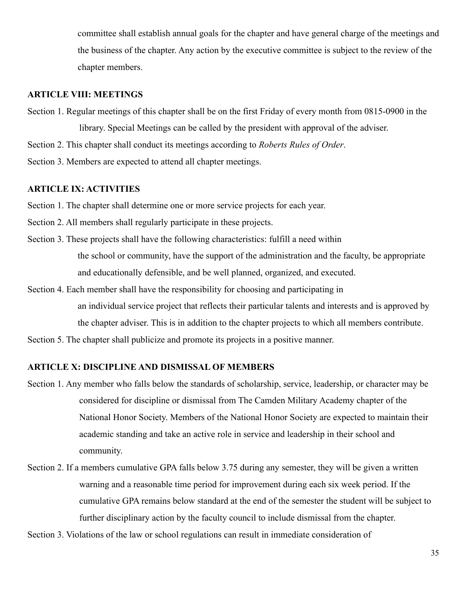committee shall establish annual goals for the chapter and have general charge of the meetings and the business of the chapter. Any action by the executive committee is subject to the review of the chapter members.

#### **ARTICLE VIII: MEETINGS**

- Section 1. Regular meetings of this chapter shall be on the first Friday of every month from 0815-0900 in the library. Special Meetings can be called by the president with approval of the adviser.
- Section 2. This chapter shall conduct its meetings according to *Roberts Rules of Order*.
- Section 3. Members are expected to attend all chapter meetings.

#### **ARTICLE IX: ACTIVITIES**

- Section 1. The chapter shall determine one or more service projects for each year.
- Section 2. All members shall regularly participate in these projects.
- Section 3. These projects shall have the following characteristics: fulfill a need within the school or community, have the support of the administration and the faculty, be appropriate and educationally defensible, and be well planned, organized, and executed.
- Section 4. Each member shall have the responsibility for choosing and participating in an individual service project that reflects their particular talents and interests and is approved by the chapter adviser. This is in addition to the chapter projects to which all members contribute.

Section 5. The chapter shall publicize and promote its projects in a positive manner.

#### **ARTICLE X: DISCIPLINE AND DISMISSAL OF MEMBERS**

- Section 1. Any member who falls below the standards of scholarship, service, leadership, or character may be considered for discipline or dismissal from The Camden Military Academy chapter of the National Honor Society. Members of the National Honor Society are expected to maintain their academic standing and take an active role in service and leadership in their school and community.
- Section 2. If a members cumulative GPA falls below 3.75 during any semester, they will be given a written warning and a reasonable time period for improvement during each six week period. If the cumulative GPA remains below standard at the end of the semester the student will be subject to further disciplinary action by the faculty council to include dismissal from the chapter.

Section 3. Violations of the law or school regulations can result in immediate consideration of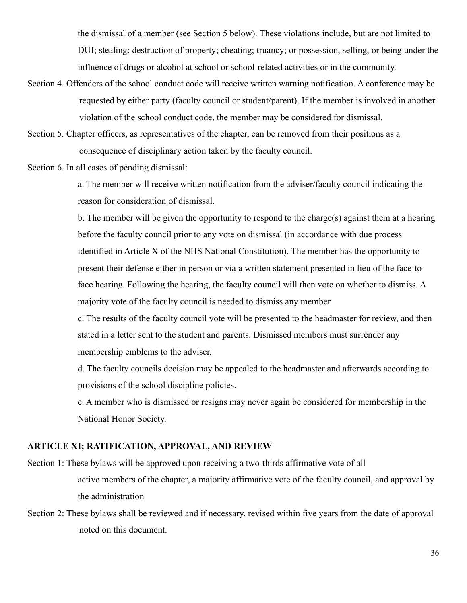the dismissal of a member (see Section 5 below). These violations include, but are not limited to DUI; stealing; destruction of property; cheating; truancy; or possession, selling, or being under the influence of drugs or alcohol at school or school-related activities or in the community.

- Section 4. Offenders of the school conduct code will receive written warning notification. A conference may be requested by either party (faculty council or student/parent). If the member is involved in another violation of the school conduct code, the member may be considered for dismissal.
- Section 5. Chapter officers, as representatives of the chapter, can be removed from their positions as a consequence of disciplinary action taken by the faculty council.

Section 6. In all cases of pending dismissal:

a. The member will receive written notification from the adviser/faculty council indicating the reason for consideration of dismissal.

b. The member will be given the opportunity to respond to the charge(s) against them at a hearing before the faculty council prior to any vote on dismissal (in accordance with due process identified in Article X of the NHS National Constitution). The member has the opportunity to present their defense either in person or via a written statement presented in lieu of the face-toface hearing. Following the hearing, the faculty council will then vote on whether to dismiss. A majority vote of the faculty council is needed to dismiss any member.

c. The results of the faculty council vote will be presented to the headmaster for review, and then stated in a letter sent to the student and parents. Dismissed members must surrender any membership emblems to the adviser.

d. The faculty councils decision may be appealed to the headmaster and afterwards according to provisions of the school discipline policies.

e. A member who is dismissed or resigns may never again be considered for membership in the National Honor Society.

#### **ARTICLE XI; RATIFICATION, APPROVAL, AND REVIEW**

- Section 1: These bylaws will be approved upon receiving a two-thirds affirmative vote of all active members of the chapter, a majority affirmative vote of the faculty council, and approval by the administration
- Section 2: These bylaws shall be reviewed and if necessary, revised within five years from the date of approval noted on this document.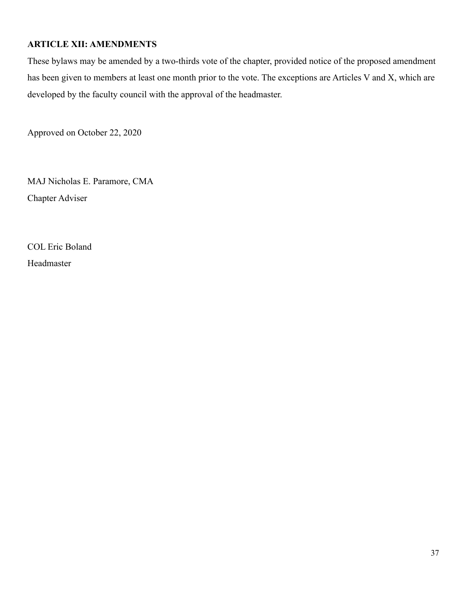### **ARTICLE XII: AMENDMENTS**

These bylaws may be amended by a two-thirds vote of the chapter, provided notice of the proposed amendment has been given to members at least one month prior to the vote. The exceptions are Articles V and X, which are developed by the faculty council with the approval of the headmaster.

Approved on October 22, 2020

MAJ Nicholas E. Paramore, CMA Chapter Adviser

COL Eric Boland Headmaster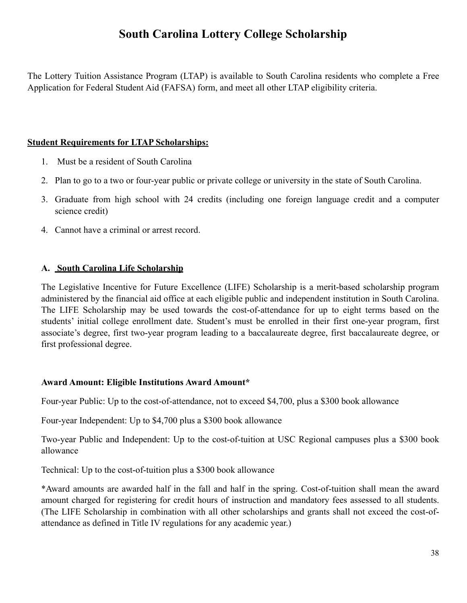# **South Carolina Lottery College Scholarship**

The Lottery Tuition Assistance Program (LTAP) is available to South Carolina residents who complete a Free Application for Federal Student Aid (FAFSA) form, and meet all other LTAP eligibility criteria.

### **Student Requirements for LTAP Scholarships:**

- 1. Must be a resident of South Carolina
- 2. Plan to go to a two or four-year public or private college or university in the state of South Carolina.
- 3. Graduate from high school with 24 credits (including one foreign language credit and a computer science credit)
- 4. Cannot have a criminal or arrest record.

### **A. South Carolina Life Scholarship**

The Legislative Incentive for Future Excellence (LIFE) Scholarship is a merit-based scholarship program administered by the financial aid office at each eligible public and independent institution in South Carolina. The LIFE Scholarship may be used towards the cost-of-attendance for up to eight terms based on the students' initial college enrollment date. Student's must be enrolled in their first one-year program, first associate's degree, first two-year program leading to a baccalaureate degree, first baccalaureate degree, or first professional degree.

#### **Award Amount: Eligible Institutions Award Amount\***

Four-year Public: Up to the cost-of-attendance, not to exceed \$4,700, plus a \$300 book allowance

Four-year Independent: Up to \$4,700 plus a \$300 book allowance

Two-year Public and Independent: Up to the cost-of-tuition at USC Regional campuses plus a \$300 book allowance

Technical: Up to the cost-of-tuition plus a \$300 book allowance

\*Award amounts are awarded half in the fall and half in the spring. Cost-of-tuition shall mean the award amount charged for registering for credit hours of instruction and mandatory fees assessed to all students. (The LIFE Scholarship in combination with all other scholarships and grants shall not exceed the cost-ofattendance as defined in Title IV regulations for any academic year.)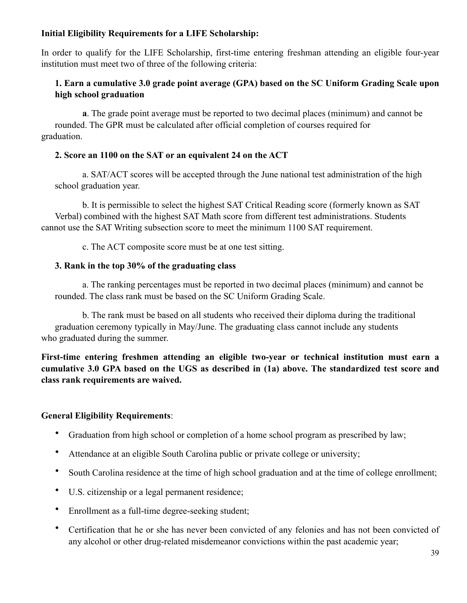# **Initial Eligibility Requirements for a LIFE Scholarship:**

In order to qualify for the LIFE Scholarship, first-time entering freshman attending an eligible four-year institution must meet two of three of the following criteria:

### **1. Earn a cumulative 3.0 grade point average (GPA) based on the SC Uniform Grading Scale upon high school graduation**

 **a**. The grade point average must be reported to two decimal places (minimum) and cannot be rounded. The GPR must be calculated after official completion of courses required for graduation.

#### **2. Score an 1100 on the SAT or an equivalent 24 on the ACT**

 a. SAT/ACT scores will be accepted through the June national test administration of the high school graduation year.

 b. It is permissible to select the highest SAT Critical Reading score (formerly known as SAT Verbal) combined with the highest SAT Math score from different test administrations. Students cannot use the SAT Writing subsection score to meet the minimum 1100 SAT requirement.

c. The ACT composite score must be at one test sitting.

#### **3. Rank in the top 30% of the graduating class**

 a. The ranking percentages must be reported in two decimal places (minimum) and cannot be rounded. The class rank must be based on the SC Uniform Grading Scale.

 b. The rank must be based on all students who received their diploma during the traditional graduation ceremony typically in May/June. The graduating class cannot include any students who graduated during the summer.

**First-time entering freshmen attending an eligible two-year or technical institution must earn a cumulative 3.0 GPA based on the UGS as described in (1a) above. The standardized test score and class rank requirements are waived.** 

#### **General Eligibility Requirements**:

- Graduation from high school or completion of a home school program as prescribed by law;
- Attendance at an eligible South Carolina public or private college or university;
- South Carolina residence at the time of high school graduation and at the time of college enrollment;
- U.S. citizenship or a legal permanent residence;
- Enrollment as a full-time degree-seeking student;
- Certification that he or she has never been convicted of any felonies and has not been convicted of any alcohol or other drug-related misdemeanor convictions within the past academic year;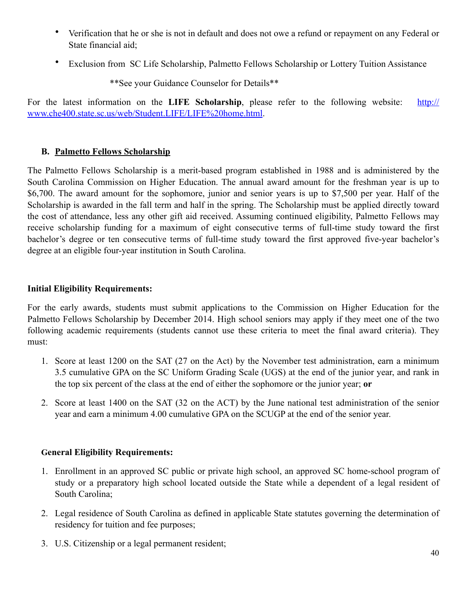- Verification that he or she is not in default and does not owe a refund or repayment on any Federal or State financial aid;
- Exclusion from SC Life Scholarship, Palmetto Fellows Scholarship or Lottery Tuition Assistance

\*\*See your Guidance Counselor for Details\*\*

For the latest information on the **LIFE Scholarship**, please refer to the following website: [http://](http://www.che400.state.sc.us/web/Student.LIFE/LIFE%2520home.html) [www.che400.state.sc.us/web/Student.LIFE/LIFE%20home.html](http://www.che400.state.sc.us/web/Student.LIFE/LIFE%2520home.html).

# **B. Palmetto Fellows Scholarship**

The Palmetto Fellows Scholarship is a merit-based program established in 1988 and is administered by the South Carolina Commission on Higher Education. The annual award amount for the freshman year is up to \$6,700. The award amount for the sophomore, junior and senior years is up to \$7,500 per year. Half of the Scholarship is awarded in the fall term and half in the spring. The Scholarship must be applied directly toward the cost of attendance, less any other gift aid received. Assuming continued eligibility, Palmetto Fellows may receive scholarship funding for a maximum of eight consecutive terms of full-time study toward the first bachelor's degree or ten consecutive terms of full-time study toward the first approved five-year bachelor's degree at an eligible four-year institution in South Carolina.

### **Initial Eligibility Requirements:**

For the early awards, students must submit applications to the Commission on Higher Education for the Palmetto Fellows Scholarship by December 2014. High school seniors may apply if they meet one of the two following academic requirements (students cannot use these criteria to meet the final award criteria). They must:

- 1. Score at least 1200 on the SAT (27 on the Act) by the November test administration, earn a minimum 3.5 cumulative GPA on the SC Uniform Grading Scale (UGS) at the end of the junior year, and rank in the top six percent of the class at the end of either the sophomore or the junior year; **or**
- 2. Score at least 1400 on the SAT (32 on the ACT) by the June national test administration of the senior year and earn a minimum 4.00 cumulative GPA on the SCUGP at the end of the senior year.

# **General Eligibility Requirements:**

- 1. Enrollment in an approved SC public or private high school, an approved SC home-school program of study or a preparatory high school located outside the State while a dependent of a legal resident of South Carolina;
- 2. Legal residence of South Carolina as defined in applicable State statutes governing the determination of residency for tuition and fee purposes;
- 3. U.S. Citizenship or a legal permanent resident;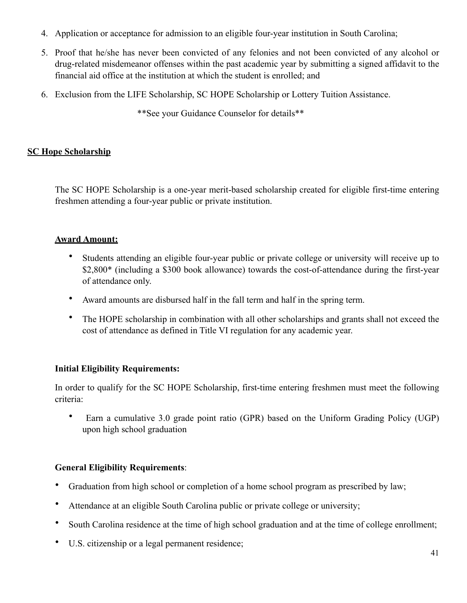- 4. Application or acceptance for admission to an eligible four-year institution in South Carolina;
- 5. Proof that he/she has never been convicted of any felonies and not been convicted of any alcohol or drug-related misdemeanor offenses within the past academic year by submitting a signed affidavit to the financial aid office at the institution at which the student is enrolled; and
- 6. Exclusion from the LIFE Scholarship, SC HOPE Scholarship or Lottery Tuition Assistance.

\*\*See your Guidance Counselor for details\*\*

# **SC Hope Scholarship**

The SC HOPE Scholarship is a one-year merit-based scholarship created for eligible first-time entering freshmen attending a four-year public or private institution.

# **Award Amount:**

- Students attending an eligible four-year public or private college or university will receive up to \$2,800\* (including a \$300 book allowance) towards the cost-of-attendance during the first-year of attendance only.
- Award amounts are disbursed half in the fall term and half in the spring term.
- The HOPE scholarship in combination with all other scholarships and grants shall not exceed the cost of attendance as defined in Title VI regulation for any academic year.

# **Initial Eligibility Requirements:**

In order to qualify for the SC HOPE Scholarship, first-time entering freshmen must meet the following criteria:

• Earn a cumulative 3.0 grade point ratio (GPR) based on the Uniform Grading Policy (UGP) upon high school graduation

# **General Eligibility Requirements**:

- Graduation from high school or completion of a home school program as prescribed by law;
- Attendance at an eligible South Carolina public or private college or university;
- South Carolina residence at the time of high school graduation and at the time of college enrollment;
- U.S. citizenship or a legal permanent residence;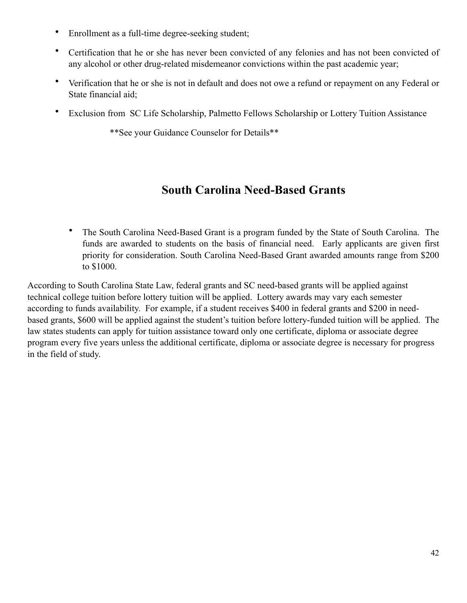- Enrollment as a full-time degree-seeking student;
- Certification that he or she has never been convicted of any felonies and has not been convicted of any alcohol or other drug-related misdemeanor convictions within the past academic year;
- Verification that he or she is not in default and does not owe a refund or repayment on any Federal or State financial aid;
- Exclusion from SC Life Scholarship, Palmetto Fellows Scholarship or Lottery Tuition Assistance

\*\*See your Guidance Counselor for Details\*\*

# **South Carolina Need-Based Grants**

• The South Carolina Need-Based Grant is a program funded by the State of South Carolina. The funds are awarded to students on the basis of financial need. Early applicants are given first priority for consideration. South Carolina Need-Based Grant awarded amounts range from \$200 to \$1000.

According to South Carolina State Law, federal grants and SC need-based grants will be applied against technical college tuition before lottery tuition will be applied. Lottery awards may vary each semester according to funds availability. For example, if a student receives \$400 in federal grants and \$200 in needbased grants, \$600 will be applied against the student's tuition before lottery-funded tuition will be applied. The law states students can apply for tuition assistance toward only one certificate, diploma or associate degree program every five years unless the additional certificate, diploma or associate degree is necessary for progress in the field of study.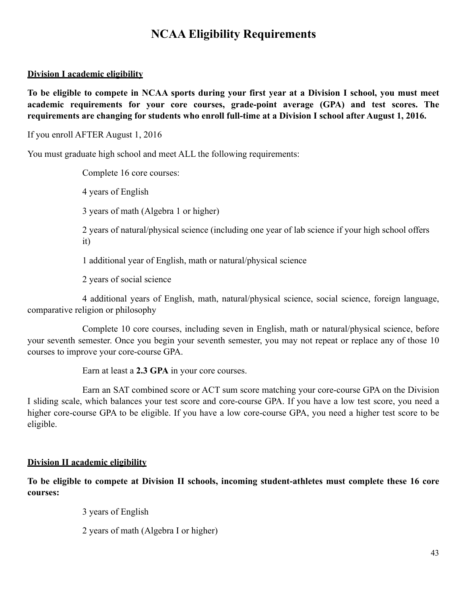# **NCAA Eligibility Requirements**

### **Division I academic eligibility**

**To be eligible to compete in NCAA sports during your first year at a Division I school, you must meet academic requirements for your core courses, grade-point average (GPA) and test scores. The requirements are changing for students who enroll full-time at a Division I school after August 1, 2016.**

If you enroll AFTER August 1, 2016

You must graduate high school and meet ALL the following requirements:

Complete 16 core courses:

4 years of English

3 years of math (Algebra 1 or higher)

 2 years of natural/physical science (including one year of lab science if your high school offers it)

1 additional year of English, math or natural/physical science

2 years of social science

 4 additional years of English, math, natural/physical science, social science, foreign language, comparative religion or philosophy

 Complete 10 core courses, including seven in English, math or natural/physical science, before your seventh semester. Once you begin your seventh semester, you may not repeat or replace any of those 10 courses to improve your core-course GPA.

Earn at least a **2.3 GPA** in your core courses.

 Earn an SAT combined score or ACT sum score matching your core-course GPA on the Division I sliding scale, which balances your test score and core-course GPA. If you have a low test score, you need a higher core-course GPA to be eligible. If you have a low core-course GPA, you need a higher test score to be eligible.

#### **Division II academic eligibility**

**To be eligible to compete at Division II schools, incoming student-athletes must complete these 16 core courses:** 

3 years of English

2 years of math (Algebra I or higher)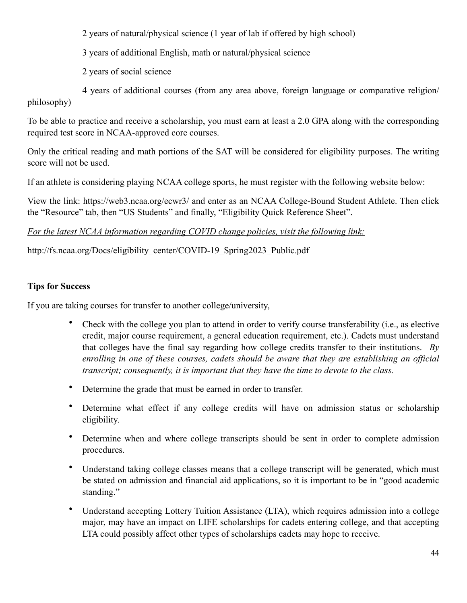2 years of natural/physical science (1 year of lab if offered by high school)

3 years of additional English, math or natural/physical science

2 years of social science

 4 years of additional courses (from any area above, foreign language or comparative religion/ philosophy)

To be able to practice and receive a scholarship, you must earn at least a 2.0 GPA along with the corresponding required test score in NCAA-approved core courses.

Only the critical reading and math portions of the SAT will be considered for eligibility purposes. The writing score will not be used.

If an athlete is considering playing NCAA college sports, he must register with the following website below:

View the link: https://web3.ncaa.org/ecwr3/ and enter as an NCAA College-Bound Student Athlete. Then click the "Resource" tab, then "US Students" and finally, "Eligibility Quick Reference Sheet".

# *For the latest NCAA information regarding COVID change policies, visit the following link:*

# http://fs.ncaa.org/Docs/eligibility\_center/COVID-19\_Spring2023\_Public.pdf

# **Tips for Success**

If you are taking courses for transfer to another college/university,

- Check with the college you plan to attend in order to verify course transferability (i.e., as elective credit, major course requirement, a general education requirement, etc.). Cadets must understand that colleges have the final say regarding how college credits transfer to their institutions. *By enrolling in one of these courses, cadets should be aware that they are establishing an official transcript; consequently, it is important that they have the time to devote to the class.*
- Determine the grade that must be earned in order to transfer.
- Determine what effect if any college credits will have on admission status or scholarship eligibility.
- Determine when and where college transcripts should be sent in order to complete admission procedures.
- Understand taking college classes means that a college transcript will be generated, which must be stated on admission and financial aid applications, so it is important to be in "good academic standing."
- Understand accepting Lottery Tuition Assistance (LTA), which requires admission into a college major, may have an impact on LIFE scholarships for cadets entering college, and that accepting LTA could possibly affect other types of scholarships cadets may hope to receive.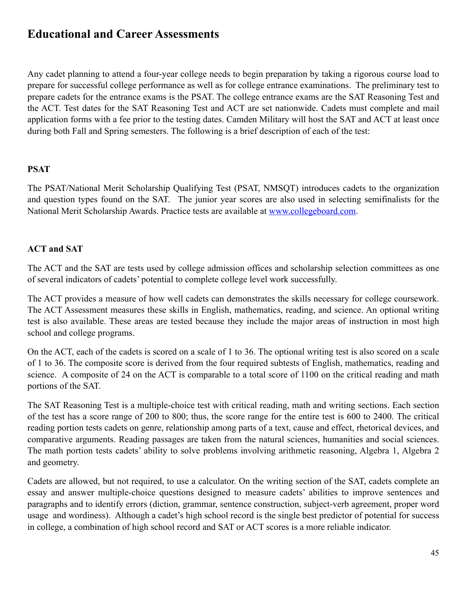# **Educational and Career Assessments**

Any cadet planning to attend a four-year college needs to begin preparation by taking a rigorous course load to prepare for successful college performance as well as for college entrance examinations. The preliminary test to prepare cadets for the entrance exams is the PSAT. The college entrance exams are the SAT Reasoning Test and the ACT. Test dates for the SAT Reasoning Test and ACT are set nationwide. Cadets must complete and mail application forms with a fee prior to the testing dates. Camden Military will host the SAT and ACT at least once during both Fall and Spring semesters. The following is a brief description of each of the test:

#### **PSAT**

The PSAT/National Merit Scholarship Qualifying Test (PSAT, NMSQT) introduces cadets to the organization and question types found on the SAT. The junior year scores are also used in selecting semifinalists for the National Merit Scholarship Awards. Practice tests are available at [www.collegeboard.com.](http://www.collegeboard.com)

#### **ACT and SAT**

The ACT and the SAT are tests used by college admission offices and scholarship selection committees as one of several indicators of cadets' potential to complete college level work successfully.

The ACT provides a measure of how well cadets can demonstrates the skills necessary for college coursework. The ACT Assessment measures these skills in English, mathematics, reading, and science. An optional writing test is also available. These areas are tested because they include the major areas of instruction in most high school and college programs.

On the ACT, each of the cadets is scored on a scale of 1 to 36. The optional writing test is also scored on a scale of 1 to 36. The composite score is derived from the four required subtests of English, mathematics, reading and science. A composite of 24 on the ACT is comparable to a total score of 1100 on the critical reading and math portions of the SAT.

The SAT Reasoning Test is a multiple-choice test with critical reading, math and writing sections. Each section of the test has a score range of 200 to 800; thus, the score range for the entire test is 600 to 2400. The critical reading portion tests cadets on genre, relationship among parts of a text, cause and effect, rhetorical devices, and comparative arguments. Reading passages are taken from the natural sciences, humanities and social sciences. The math portion tests cadets' ability to solve problems involving arithmetic reasoning, Algebra 1, Algebra 2 and geometry.

Cadets are allowed, but not required, to use a calculator. On the writing section of the SAT, cadets complete an essay and answer multiple-choice questions designed to measure cadets' abilities to improve sentences and paragraphs and to identify errors (diction, grammar, sentence construction, subject-verb agreement, proper word usage and wordiness). Although a cadet's high school record is the single best predictor of potential for success in college, a combination of high school record and SAT or ACT scores is a more reliable indicator.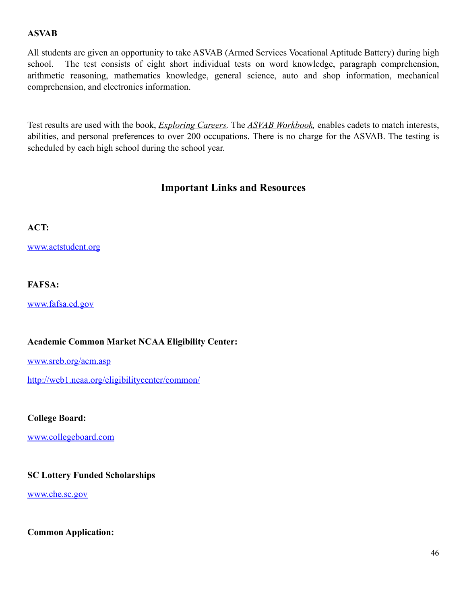# **ASVAB**

All students are given an opportunity to take ASVAB (Armed Services Vocational Aptitude Battery) during high school. The test consists of eight short individual tests on word knowledge, paragraph comprehension, arithmetic reasoning, mathematics knowledge, general science, auto and shop information, mechanical comprehension, and electronics information.

Test results are used with the book, *Exploring Careers.* The *ASVAB Workbook,* enables cadets to match interests, abilities, and personal preferences to over 200 occupations. There is no charge for the ASVAB. The testing is scheduled by each high school during the school year.

# **Important Links and Resources**

### **ACT:**

[www.actstudent.org](http://www.actstudent.org)

### **FAFSA:**

[www.fafsa.ed.gov](http://www.fafsa.ed.gov)

#### **Academic Common Market NCAA Eligibility Center:**

[www.sreb.org/acm.asp](http://www.sreb.org/acm.asp)

<http://web1.ncaa.org/eligibilitycenter/common/>

**College Board:** 

[www.collegeboard.com](http://www.collegeboard.com)

### **SC Lottery Funded Scholarships**

[www.che.sc.gov](http://www.che.sc.gov)

**Common Application:**